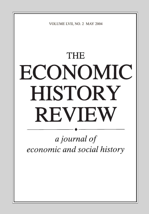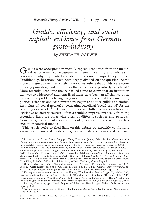Economic History Review, LVII, 2 (2004), pp. 286-333

# Guilds, efficiency, and social capital: evidence from German  $proto$ -industry<sup>1</sup>

# By SHEILAGH OGILVIE

Guilds were widespread in most European economies from the medie-<br>val period to—in some cases—the nineteenth century, and debate still rages about why they existed and about the economic impact they exerted. Traditionally, historians have been deeply divided on the question. Some argue that guilds exercised costly monopolies, others that guilds were economically powerless, and still others that guilds were positively beneficial.<sup>2</sup> More recently, economic theory has led some to claim that an institution that was so widespread and long-lived must have been an efficient solution to economic problems facing early modern industries.<sup>3</sup> At the same time, political scientists and economists have begun to adduce guilds as historical exemplars of 'social networks' generating beneficial 'social capital' for the economy as a whole. $4$  Yet much of the debate hitherto has been based on legislative or literary sources, often assembled impressionistically from the secondary literature on a wide array of different societies and periods.<sup>5</sup> Conversely, many detailed case studies of guilds still proceed without reference to theoretical models.

This article seeks to shed light on this debate by explicitly confronting alternative theoretical models of guilds with detailed empirical evidence

<sup>1</sup> I thank André Carus, Partha Dasgupta, Tracy Dennison, Jeremy Edwards, Tim Guinnane, Klas Nyberg, and three anonymous referees for stimulating comments on the arguments presented in this article. I also gratefully acknowledge the financial support of a British Academy Research Readership (2001-3). Archive locations, and the abbreviations by which these sources are referred to, are as follows. HSAS ¼ Hauptstaatsarchiv Stuttgart, Konrad-Adenauer-Straße 4, 70173 Stuttgart, Germany.

 $PAE =$  Pfarrarchiv Ebhausen and  $PAW =$  Pfarrarchiv Wildberg, microfilmed documents from parish archives held by Landeskirchliches Archiv Stuttgart, Balinger-Straße 33/1, 70567 Stuttgart, Germany. SOAD HS = Fond Rodinný Archiv Clam-Gallasů, Historická Sbírka, Státní Oblastní Archiv Litoměřice, Pobočka Děčín, Zbrojnická 14/1, 40502 Dě

<sup>2</sup> On this debate, see Bräuer, 'Entwicklungstendenzen'; Ehmer, 'Traditionelles Denken', pp. 19-35; Epstein, 'Craft guilds', pp. 685-6; Gustafsson, 'Rise', pp. 1-7, 12-13; Ogilvie, State corporatism, pp. 308-10, 339-66; Pfister, 'Craft guilds', pp. 12-14; Reith, 'Technische Innovation', pp. 21-8.

308-10, 339-66; Pfister, 'Craft guilds', pp. 12-14; Reith, 'Technische Innovation', pp. 21-8. <sup>3</sup> For representative recent examples, see Ehmer, 'Traditionelles Denken', pp. 32, 35-54, 76-7; Epstein, 'Craft guilds', pp. 685-6; Greif, et al., 'Coordination'; Gustafsson, 'Rise', pp. 1-7, 12-13; Hickson and Thompson, 'New theory', pp. 127-8; Pfister, 'Craft guilds', pp. 12-14; Reith, 'Technische Innovation', pp. 21-8; and the majority of the essays in Epstein et al., eds., *Guilds*; and Haupt, ed., *Ende*.

<sup>4</sup> Putnam, *Democracy*, pp. 163-85; Stiglitz and Ellerman, 'New bridges'; Raiser, 'Informal institutions', p. 231.<br><sup>5</sup> As vigorously criticized, e.g., by Ehmer, 'Traditionelles Denken', pp. 29, 40; Bräuer, 'Entwicklung-

stendenzen', p. 37.

C Economic History Society 2004. Published by Blackwell Publishing, 9600 Garsington Road, Oxford OX4 2DQ, UK and 350 Main Street, Malden, MA 02148, USA.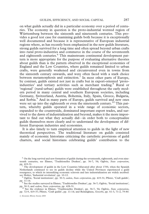on what guilds actually did in a particular economy over a period of centuries. The economy in question is the proto-industrial worsted region of Württemberg between the sixteenth and nineteenth centuries. This provides a good test case for examining guilds both because it is exceptionally well documented and because it is representative of European industrial regions where, as has recently been emphasized in the new guilds literature, strong guilds survived for a long time and often spread beyond urban crafts into rural proto-industries and commerce in the course of the seventeenth and eighteenth centuries.<sup>6</sup> This mainstream continental development pattern is more appropriate for the purpose of evaluating alternative theories about guilds than is the pattern observed in the exceptional economies of England and the Low Countries, where guilds remained limited to urban crafts, were generally weakened and circumvented even in towns from the sixteenth century onwards, and were often faced with a stark choice between metamorphosis and extinction.<sup>7</sup> In most other parts of Europe, by contrast, guilds existed not just in crafts but in export-oriented 'protoindustries' and tertiary activities such as merchant trading.<sup>8</sup> Rural or 'regional' (rural-urban) guilds were established throughout the early modern period in many central and southern European societies, including Germany, Switzerland, Austria, Bohemia, Italy, Spain, Greece, Bulgaria, and Serbia.<sup>9</sup> And in many parts of Europe, guilds survived and new ones were set up into the eighteenth or even the nineteenth century.<sup>10</sup> This pattern, whereby guilds operated in a wide range of economic sectors, expanded to the countryside, dominated important export trades, and survived to the dawn of industrialization and beyond, makes it the more important to find out what they actually did—in order both to conceptualize guilds themselves more clearly and to understand the development of different European industries and economies.

It is also timely to turn empirical attention to guilds in the light of new theoretical perspectives. The traditional literature on guilds consisted mainly of economic historians criticizing the cartelistic provisions of guild charters, and social historians celebrating guilds' contribution to the

<sup>6</sup> On the long survival and new formation of guilds during the seventeenth, eighteenth, and even nineteenth centuries, see Ehmer, 'Traditionelles Denken', pp. 36-7, 54; Ogilvie, State corporatism, pp. 419-31.<br><sup>7</sup> The development of guilds in the Low Countries bifurcated after about 1700, when the Spanish

Netherlands continued to see its guilds decline while the United Provinces experienced a guild resurgence, to which its intensifying economic sclerosis and late industrialization are widely ascribed:<br>see Mokyr, 'Industrial revolution', pp. 10-12.

 $8$  Ogilvie, 'Social institutions', pp. 30-3; eadem, State corporatism, pp. 419-31; Pfister, 'Craft guilds',

pp. 11-14. 9 See the studies surveyed in Ehmer, 'Traditionelles Denken', pp. 36-7; Ogilvie, 'Social institutions', pp. 30-3; and *eadem*, *State corporatism*, pp. 428-31.

<sup>&</sup>lt;sup>10</sup> See the evidence in Ehmer, 'Traditionelles Denken', pp. 36-7, 54; Ogilvie, State corporatism, pp. 72-9, 419-37; Pfister, 'Craft guilds', pp. 11-14; and Reininghaus, Gewerbe, pp. 61-3, 71-2, 79-80.

 $C$  Economic History Society 2004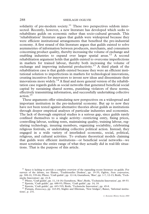solidarity of pre-modern society.<sup>11</sup> These two perspectives seldom intersected. Recently, however, a new literature has developed which seeks to rehabilitate guilds on economic rather than socio-cultural grounds. This 'rehabilitation' literature argues that guilds were widespread because they were efficient institutional arrangements that benefited the pre-industrial economy. A first strand of this literature argues that guilds existed to solve asymmetries of information between producers, merchants, and consumers concerning product quality, thereby increasing the volume of exchange and enabling industries to expand over larger spatial areas.<sup>12</sup> A second rehabilitation argument holds that guilds existed to overcome imperfections in markets for trained labour, thereby both increasing the volume of exchange and improving industrial productivity.<sup>13</sup> A third plank of the rehabilitation case is that guilds existed because they were an efficient institutional solution to imperfections in markets for technological innovations, creating incentives for innovators to invent new ideas and disseminate their innovations more widely.<sup>14</sup> A final and more general version of the rehabilitation case regards guilds as social networks that generated beneficial social capital by sustaining shared norms, punishing violators of these norms, effectively transmitting information, and successfully undertaking collective action.<sup>15</sup>

These arguments offer stimulating new perspectives on a widespread and important institution in the pre-industrial economy. But up to now they have not been tested against alternative theories about guilds as institutions through deeper empirical analyses of particular industries and economies. The lack of thorough empirical studies is a serious gap, since guilds rarely confined themselves to a single activity—restricting entry, fixing prices, controlling labour, seeking rents, maintaining quality, training labour, regulating technology, insuring members, organizing sociability, celebrating religious festivals, or undertaking collective political action. Instead, they engaged in a wide variety of interlinked economic, social, political, religious, and cultural activities. To evaluate theoretical models claiming that guilds were efficient institutions—or beneficial social networks—we must scrutinize the entire range of what they actually did in real-life situations. That is the purpose of this article.

 $11$  Space is lacking to provide a complete overview of the expanding recent literature on guilds. For surveys of the debate, see Ehmer, 'Traditionelles Denken', pp. 19-35; Ogilvie, State corporatism, pp. 308-10, 339-66; Pfister, 'Craft guilds', pp. 12-14; Gustafsson, 'Rise', pp. 1-7, 12-13; Reith, 'Tech-

<sup>&</sup>lt;sup>12</sup> Pfister, 'Craft guilds', pp. 11, 14-18; Gustafsson, 'Rise'; Reith, 'Technische Innovation', pp. 49-53.<br><sup>13</sup> Epstein, 'Craft guilds', pp. 688-93; Pfister, 'Craft guilds', pp. 14, 18.<br><sup>14</sup> Epstein, 'Craft guilds', pp.

tions', p. 231.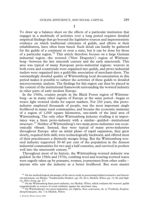To draw up a balance sheet on the effects of a particular institution that engages in a multitude of activities over a long period requires detailed empirical findings that go beyond the legislative sources and impressionistic evidence on which traditional criticisms of guilds, and efforts at their rehabilitation, have often been based. Such detail can hardly be gathered for the guilds of a continent or even a state, but it can be done for those of a particular region.<sup>16</sup> This article therefore focuses on a large German industrial region—the worsted ('New Draperies') region of Württemberg—between the late sixteenth century and the early nineteenth. This area was typical of many European proto-industrial regions: weavers in both town and countryside were organized into guilds, and proto-industrial traders were organized into a guild-like association of merchant-dyers. The outstandingly detailed quality of Württemberg local documentation in this period makes it possible to subject the activities of these guilds to detailed microeconomic analysis. The findings for this region can then be placed in the context of the institutional framework surrounding the worsted industry in other parts of early modern Europe.

In the 1560s, country people in the Black Forest region of Württemberg—as in many other regions of Europe at the same period—began to weave light worsted cloths for export markets. For 250 years, this protoindustry employed thousands of people, was the most important single livelihood in many rural communities, and became the economic mainstay of a region of 1,000 square kilometres, one-ninth of the land area of Württemberg. The only other Württemberg industry rivalling it in importance was a linen proto-industry with a similar—guilded—institutional structure.<sup>17</sup> Neither of Württemberg's two main proto-industries was economically vibrant. Instead, they were typical of many proto-industries throughout Europe: after an initial phase of rapid expansion, they grew slowly, required little skill, were technologically backward, and offered most of their practitioners a distinctly meagre living. But the Württemberg worsted industry supported 30-40 per cent of the population in the densest industrial communities for two and a half centuries, and survived in pockets well into the nineteenth century.<sup>18</sup>

Throughout most of its history, the Württemberg worsted industry was guilded. In the 1560s and 1570s, combing wool and weaving worsted wares were eagerly taken up by peasants, women, journeymen from other crafts anyone who saw the industry as a better livelihood. But soon master

 $\oslash$  Economic History Society 2004

<sup>&</sup>lt;sup>16</sup> On the methodological advantages of the micro-study in penetrating behind normative and rhetorical statements, see Ehmer, 'Traditionelles Denken', pp. 29, 40-1; Medick, Weben, pp. 13-38; and Ogil-

vie, Bitter living, pp. 6-7.<br><sup>17</sup> On the Württemberg linen proto-industry, see Medick, Weben, which evaluates the weavers' guilds sympathetically as sources of social solidarity against the merchant class.

<sup>&</sup>lt;sup>18</sup> On Württemberg's two proto-industries, see Ogilvie, State corporatism, ch. 4; Troeltsch, Zeughandlungskompagnie, chs. 1-4; Medick, Weben.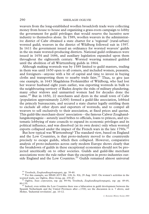weavers from the long-established woollen broadcloth trade were collecting money from house to house and organizing a grass-roots campaign to lobby the government for guild privileges that would reserve the lucrative new industry to themselves alone. In 1589, woollen weavers in the administrative district of Calw obtained a state charter for a 'regional' (rural-urban) worsted guild; weavers in the district of Wildberg followed suit in 1597. In 1611 the government issued an ordinance for worsted weavers' guilds in the six main worsted-producing districts. National guild ordinances were issued in 1654 and 1686, and auxiliary legislation expanded upon them throughout the eighteenth century. Worsted weaving remained guilded until the abolition of all Württemberg guilds in 1864.

Although making worsteds was by 1589 limited to guild masters, trading in them was until 1650 open to all comers, and included women, peasants, and foreigners—anyone with a bit of capital and time to invest in buying cloths and transporting them to nearby trade fairs.<sup>19</sup> Thus, to give just one example, in 1643 Magdalena Frohnmüller of Wildberg, who had lost her weaver husband eight years earlier, was exporting worsteds in bulk to the neighbouring territory of Baden despite the risks of military plundering; many other widows and unmarried women had for decades done the same.<sup>20</sup> But in 1650, 22 merchants and dyers in the small town of Calw (population approximately 2,000) formed a guild-like association, lobbied the princely bureaucrats, and secured a state charter legally entitling them to exclude all other dyers and exporters of worsteds, and to compel all weavers to sell exclusively to their association, at fixed prices and quotas. This guild-like merchant-dyers' association—the famous Calwer Zeughandlungskompagnie—astutely used bribes to officials, loans to princes, and systematic lobbying of state councils to expand its economic privileges and its political influence, and was dissolved (at its own desire) only when worsted exports collapsed under the impact of the French wars in the late  $1790s$ <sup>21</sup>

But how typical was Württemberg? The standard view, based on England and the Low Countries, is that proto-industry moved to the countryside precisely to escape guilds, which then collapsed. However, comparative analysis of proto-industries across early modern Europe shows clearly that the breakdown of guilds in these exceptional economies should not be projected uncritically on to other societies. Guilds and guild-like merchant associations were the rule rather than the exception in proto-industries outside England and the Low Countries.<sup>22</sup> Guilds remained almost universal

<sup>&</sup>lt;sup>19</sup> Troeltsch, *Zeughandlungskompagnie*, pp. 39-40.<br><sup>20</sup> For this example, see HSAS A573 Bü. 128, fo. 82r, 29 Aug. 1643. On women's activities in the worsted trade, see Ogilvie, *Bitter living*, pp. 239-47.

<sup>&</sup>lt;sup>21</sup> Ogilvie, *State corporatism*, esp. pp. 89-94; Troeltsch, *Zeughandlungskompagnie*, esp. pp. 49-69, 80-135.

<sup>&</sup>lt;sup>22</sup> Indeed, even within the Low Countries there was a bifurcation in guild development between the Spanish Netherlands and the United Provinces after  $c.1700$ ; see the discussion in n. 7 above, and Mokyr, 'Industrial revolution', pp. 10-12.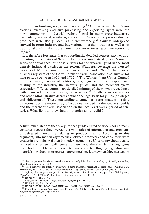in the urban finishing stages, such as dyeing.<sup>23</sup> Guild-like merchant 'associations' exercising exclusive purchasing and exporting rights were the norm among proto-industrial traders.<sup>24</sup> And in many proto-industries, particularly in central, southern, and eastern Europe, rural proto-industrial producers were also guilded—as in Württemberg.<sup>25</sup> Guilds' widespread survival in proto-industry and international merchant trading as well as in traditional crafts makes it the more important to investigate their economic impact.

It is therefore fortunate that extraordinarily detailed sources survive, documenting the activities of Württemberg's proto-industrial guilds. A unique series of annual account books survives for the weavers' guild in the most densely industrial district in the region, Wildberg, covering the worsted weavers of 10 rural communities between 1598 and  $1760.<sup>26</sup>$  The colossal business registers of the Calw merchant-dyers' association also survive for long periods between 1650 and 1797.<sup>27</sup> The Württemberg Upper Council preserved many cartons of petitions, lists, registers, and correspondence relating to the industry, the weavers' guilds, and the merchant-dyers' association.<sup>28</sup> Local courts kept detailed minutes of their own proceedings, with many references to local guild activities.<sup>29</sup> Finally, state ordinances and other administrative decrees defined the legal basis for guilds' privileges and obligations.<sup>30</sup> These outstanding documentary series make it possible to reconstruct the entire array of activities pursued by the weavers' guilds and the merchant-dyers' association on the local level over a period of centuries. What light do they shed on theories about guilds?

II

A first 'rehabilitation' theory argues that guilds existed so widely for so many centuries because they overcame asymmetries of information and problems of delegated monitoring relating to product quality. According to this argument, information asymmetries between producers and consumers were greater in pre-industrial than in modern economies. Uncertainty about quality reduced consumers' willingness to purchase, thereby diminishing gains from trade. Guilds are supposed to have corrected this, by regulating raw materials, production processes, apprenticeship, journeymanship, mastership

<sup>&</sup>lt;sup>23</sup> See the proto-industrial case studies discussed in Ogilvie, *State corporatism*, pp. 419-28; and *eadem*, 'Social institutions', pp. 30-3.

 $^{24}$  For a survey of the extensive literature on proto-industrial merchant associations, see Ogilvie, State

corporatism, pp. 419-23; eadem, 'Social institutions', pp. 30-3; Pfister, 'Craft guilds', pp. 11-14.<br><sup>25</sup> Ogilvie, *State corporatism*, pp. 72-9, 419-37; eadem, 'Social institutions', pp. 30-3; Reininghaus, Gewerbe, pp. 61

<sup>&</sup>lt;sup>26</sup> HSAS A573 Bü. 777-911.<br>
<sup>27</sup> Analysed in Troeltsch, *Zeughandlungskompagnie*, pp. 136-89.<br>
<sup>28</sup> HSAS A228, Bü. 256-304.<br>
<sup>29</sup> HSAS A573 Bü. 1-103; PAW KKP, vols. I-VIII; PAE KKP, vols. I-VIII.<br>
<sup>29</sup> HSAS A573 Bü. 1-1 Zeughandlungskompagnie, pp. 431-84.

 $C$  Economic History Society 2004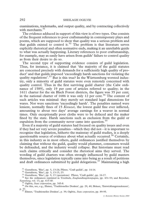#### 292 SHEILAGH OGILVIE

examinations, trademarks, and output quality, and by contracting collectively with merchants. $31$ 

The evidence adduced in support of this view is of two types. One consists of the frequent references to poor craftsmanship in contemporary plays and poems, which are supposed to show that quality was a serious problem and that guilds existed to control it.<sup>32</sup> The problem is that literature serves explicitly rhetorical and often normative ends, making it an unreliable guide to what was actually happening. Literary references to poor craftsmanship, for example, may as easily have arisen from guilds' failure to control quality as from their desire to do so.

The second type of supporting evidence consists of guild legislation. Thus, for instance, it is claimed that 'the majority of the guild statutes are concerned precisely with demands for a sufficiently high quality of product' and that guilds imposed 'exceedingly harsh sanctions for violating the quality regulations'.<sup>33</sup> But is this true? In the Württemberg worsted industry, only a minority of guild statutes were even remotely concerned with quality control. Thus in the first surviving guild charter (the Calw ordinance of 1589), only 19 per cent of articles referred to quality; in the 1611 charter for the six Black Forest districts, the figure was 35 per cent; in the national charter of  $1686$  it was only 12 per cent.<sup>34</sup> The content of such articles was minimal: they merely set standard legal dimensions for wares. Nor were sanctions 'exceedingly harsh'. The penalties named were lenient, normally fines of 15 *Kreuzer*, the lowest guild fine ever inflicted, amounting to about two days' average earnings for a weaver in normal times. Only exceptionally poor cloths were to be defaced and the maker fined by the state. Harsh sanctions such as exclusion from the guild or expulsion from the community never came into question.<sup>35</sup>

Even if a majority of guild statutes had focused on quality issues and even if they had set very severe penalties—which they did not—it is important to recognize that legislation, hitherto the mainstay of guild studies, is a deeply questionable source of evidence about what actually occurred.<sup>36</sup> Certainly, in this industry as in most others, guild ordinances justified themselves by claiming that without the guild, quality would plummet, consumers would be defrauded, and the industry would collapse. But historians must read such claims critically and consider the rhetorical aims they served. The wording of guild charters was often strongly influenced by guild masters themselves, since legislation typically came into being as a result of petitions and draft ordinances submitted by guild delegations.<sup>37</sup> Maintaining a high

<sup>&</sup>lt;sup>31</sup> Gustafsson, 'Rise', pp. 5, 13-24; Pfister, 'Craft guilds', pp. 14-16.<br><sup>32</sup> Gustafsson, 'Rise', pp. 3, 13-15, 23.<br><sup>33</sup> Gustafsson, 'Rise', pp. 9, 13 (quotations) Pfister, 'Craft guilds', pp. 16-17.<br><sup>34</sup> See the ordina

<sup>&</sup>lt;sup>35</sup> Ogilvie, *State corporatism*, pp. 345-8.  $^{36}$  On this, see, e.g., Ehmer, 'Traditionelles Denken', pp. 29, 40; Bräuer, 'Entwicklungstendenzen', p. 37.<br><sup>37</sup> Ehmer, 'Traditionelles Denken', p. 39; Ogilvie, *State corporatism*, pp. 89-95.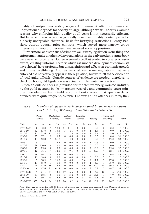quality of output was widely regarded then—as it often still is—as an unquestionable 'good' for society at large, although we will shortly examine reasons why enforcing high quality at all costs is not necessarily efficient. But because it was viewed as generally beneficial, quality control provided a nearly unarguable rhetorical basis for justifying restrictions—entry barriers, output quotas, price controls—which served more narrow group interests and would otherwise have aroused social opposition.

Furthermore, as historians of crime are well aware, legislation is one thing and enforcement quite another. Many regulations on the early modern statute book were never enforced at all. Others were enforced but evaded to a greater or lesser extent, creating 'informal sectors' which (as modern development economists have shown) have profound but unstraightforward effects on economic growth and human well-being. And, as we shall see, some regulations that were enforced did not actually appear in the legislation, but were left to the discretion of local guild officials. Outside sources of evidence are needed, therefore, to check on how guild legislation was actually implemented in practice.

Such an outside check is provided for the Württemberg worsted industry by the guild account books, merchant records, and community court minutes described earlier. Guild account books reveal that quality-related offences were quite frequent, as table 1 shows: at 357 offences in total, they

|           |          | Ouality<br>control |              | Production<br>monopoly |          | Labour<br>control |                | Ouantity<br>control |                | Sealing       |              | Honour and<br>solidarity |     | Total         |
|-----------|----------|--------------------|--------------|------------------------|----------|-------------------|----------------|---------------------|----------------|---------------|--------------|--------------------------|-----|---------------|
| Date      | no.      | $\frac{0}{0}$      | no.          | $\frac{0}{0}$          | no.      | $\frac{0}{0}$     | no.            | $\frac{0}{0}$       | no.            | $\frac{0}{0}$ | no.          | $\frac{0}{0}$            | no. | $\frac{0}{0}$ |
| 1598-1609 | $\Omega$ | 0.0                | 7            | 38.9                   | 11       | 61.1              | $\Omega$       | 0.0                 | $\Omega$       | 0.0           | $\Omega$     | 0.0                      | 18  | 100.0         |
| 1610-19   | 62       | 83.8               | 8            | 10.8                   | 3        | 4.1               | $\Omega$       | 0.0                 | 1              | 1.4           | $\Omega$     | 0.0                      | 74  | 100.0         |
| 1620-9    | 82       | 72.6               | 12           | 10.6                   | 2        | 1.8               | $\Omega$       | 0.0                 | 8              | 7.1           | 9            | 8.0                      | 113 | 100.0         |
| 1630-9    | 27       | 87.1               | 2            | 6.5                    | $\Omega$ | 0.0               | $\Omega$       | 0.0                 | 2              | 6.5           | $\mathbf{0}$ | 0.0                      | 31  | 100.0         |
| 1640-7    | 14       | 60.8               | 5            | 21.7                   | 1        | 4.3               | $\Omega$       | 0.0                 | $\mathbf{0}$   | 0.0           | 3            | 13.0                     | 23  | 100.0         |
| 1666-9    | 5        | 71.4               | $\mathbf{1}$ | 14.3                   | $\Omega$ | 0.0               | $\Omega$       | 0.0                 | $\mathbf{1}$   | 14.3          | $\Omega$     | 0.0                      | 7   | 100.0         |
| 1670-9    | 29       | 100.0              | $\Omega$     | 0.0                    | $\Omega$ | 0.0               | $\Omega$       | 0.0                 | $\Omega$       | 0.0           | $\Omega$     | 0.0                      | 29  | 100.0         |
| 1680-9    | 15       | 75.0               | $\Omega$     | 0.0                    | $\Omega$ | 0.0               | $\Omega$       | 0.0                 | $\overline{c}$ | 10.0          | 3            | 15.0                     | 20  | 100.0         |
| 1690-9    | 12       | 36.4               | 4            | 12.1                   | 3        | 9.1               | $\Omega$       | 0.0                 | 10             | 30.3          | 4            | 12.1                     | 33  | 100.0         |
| 1700-9    | 56       | 66.7               | 4            | 4.8                    | $\Omega$ | 0.0               | $\overline{7}$ | 8.3                 | 9              | 10.7          | 8            | 9.5                      | 84  | 100.0         |
| 1710-9    | 11       | 68.8               | $\Omega$     | 0.0                    | $\Omega$ | 0.0               | $\Omega$       | 0.0                 | $\Omega$       | 0.0           | 5            | 31.2                     | 16  | 100.0         |
| 1720-9    | 7        | 38.9               | 3            | 16.7                   | $\Omega$ | 0.0               | 1              | 5.6                 | 2              | 11.1          | 5            | 27.8                     | 18  | 100.0         |
| 1730-9    | 11       | 55.0               | 1            | 5.0                    | $\Omega$ | 0.0               | $\Omega$       | 0.0                 | 1              | 5.0           | 7            | 35.0                     | 20  | 100.0         |
| 1740-9    | 20       | 17.9               | 16           | 14.3                   | $\Omega$ | 0.0               | 1              | 0.9                 | 31             | 27.7          | 44           | 39.3                     | 112 | 100.0         |
| 1750-60   | 6        | 17.6               | 21           | 61.8                   | $\Omega$ | 0.0               | $\Omega$       | 0.0                 | 2              | 5.9           | 5            | 14.7                     | 34  | 100.0         |
| 1598-1647 | 185      | 71.4               | 34           | 13.1                   | 17       | 6.6               | $\Omega$       | 0.0                 | 11             | 4.2           | 12           | 4.6                      | 259 | 100.0         |
| 1666-99   | 61       | 68.5               | 5            | 5.6                    | 3        | 3.4               | $\Omega$       | 0.0                 | 13             | 14.6          | 7            | 7.9                      | 89  | 100.0         |
| 1700-60   | 111      | 39.1               | 45           | 15.8                   | $\Omega$ | 0.0               | 9              | 3.2                 | 45             | 15.8          | 74           | 26.1                     | 284 | 100.0         |
| 1598-1760 | 357      | 56.5               | 84           | 13.3                   | 20       | 3.2               | $\mathbf Q$    | 1.4                 | 69             | 10.9          | 93           | 14.7                     | 632 | 100.0         |

Table 1. Numbers of offence in each category fined by the worsted-weavers' guild, district of Wildberg, 1598-1647 and 1666-1760

Notes: There are no values for 1648-65 because of a gap in the surviving guild account-books. Offences of unknown nature are excluded (a total of 21 offences, 5 in 1680-9, 1 in 1720-9, 11 in 1730-9, and 4 in 1750-9). Source: HSAS A573 Bü. 777-911 (1598-1647, 1666-1760).

 $\oslash$  Economic History Society 2004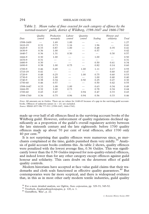| Date      | Ouality<br>control | Production<br>monopoly | Labour<br>control | Quantity<br>control | Sealing | Honour and<br>solidarity | Total |
|-----------|--------------------|------------------------|-------------------|---------------------|---------|--------------------------|-------|
| 1598-1609 |                    | 1.69                   | 1.00              |                     |         |                          | 1.27  |
| 1610-19   | 0.31               | 0.73                   | 1.16              |                     | 1.96    |                          | 0.41  |
| 1620-9    | 0.33               | 0.87                   | 1.00              |                     | 0.48    | 0.35                     | 0.41  |
| 1630-9    | 0.36               | 1.00                   |                   |                     | 0.57    |                          | 0.42  |
| 1640-7    | 0.36               | 1.31                   | 0.50              |                     |         | 0.30                     | 0.57  |
| 1666-9    | 0.30               | 1.00                   |                   |                     | 1.00    |                          | 0.50  |
| 1670-9    | 0.31               |                        |                   |                     |         |                          | 0.31  |
| 1680-9    | 0.30               |                        |                   |                     | 0.50    | 0.61                     | 0.34  |
| 1690-9    | 0.38               | 1.00                   | 0.75              |                     | 0.82    | 0.14                     | 0.60  |
| 1700-9    | 0.46               | 0.49                   |                   | 1.00                | 1.11    | 0.17                     | 0.55  |
| 1710-19   | 0.41               |                        |                   |                     |         | 0.60                     | 0.47  |
| 1720-9    | 0.48               | 0.25                   |                   | 1.00                | 0.75    | 0.60                     | 0.53  |
| 1730-9    | 0.32               | 1.00                   |                   |                     | 1.00    | 0.40                     | 0.40  |
| 1740-9    | 0.38               | 0.34                   |                   | 0.50                | 0.25    | 0.27                     | 0.30  |
| 1750-60   | 0.46               | 0.57                   |                   |                     | 0.50    | 0.42                     | 0.55  |
| 1598-1647 | 0.33               | 1.08                   | 1.00              |                     | 0.63    | 0.34                     | 0.49  |
| 1666-99   | 0.32               | 1.00                   | 0.73              |                     | 0.78    | 0.34                     | 0.44  |
| 1700-60   | 0.43               | 0.47                   |                   | 0.94                | 0.47    | 0.33                     | 0.43  |
| 1598-1760 | 0.36               | 0.75                   | 0.96              | 0.94                | 0.56    | 0.33                     | 0.46  |

Table 2. Mean value of fines exacted for each category of offence by the worsted-weavers' guild, district of Wildberg, 1598-1647 and 1666-1760

Notes: All amounts are in *Gulden*. There are no values for 1648-65 because of a gap in the surviving guild accountbooks. Offences of unknown nature  $(n = 21)$  are excluded.

Source: HSAS A573 Bü 777-911 (1598-1647, 1666-1760).

made up over half of all offences fined in the surviving account books of the Wildberg guild. However, enforcement of quality regulations declined significantly as a proportion of the guild's overall regulatory activity between the late sixteenth century and the late eighteenth: before 1700 quality offences made up about 70 per cent of total offences, after 1700 only  $40$  per cent.<sup>38</sup>

It is not surprising that quality offences were numerous since, as merchants complained at the time, guilds punished them very mildly.<sup>39</sup> Analysis of guild account books confirms this. As table 2 shows, quality offences were penalized with the lowest average fine, 0.36 Gulden. This was significantly lower than the 0.59 Gulden imposed for non-quality-related offences, and indeed lower than for any other category except offences against guild honour and solidarity. This casts doubt on the deterrent effect of guild quality controls.

Modern historians have accepted at face value guild claims that their trademarks and cloth seals functioned as effective quality guarantees.<sup>40</sup> But contemporaries were far more sceptical, and there is widespread evidence that, in this as in most other early modern textile industries, guild quality

<sup>&</sup>lt;sup>38</sup> For a more detailed analysis, see Ogilvie, *State corporatism*, pp. 329-33, 345-52.<br><sup>39</sup> Troeltsch, *Zeughandlungskompagnie*, p. 120, n. 1.

<sup>40</sup> Gustaffson, 'Rise', p. 22.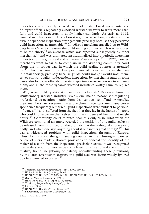inspections were widely viewed as inadequate. Local merchants and Stuttgart officials repeatedly exhorted worsted weavers to work more carefully and guild inspectors to apply higher standards. As early as 1642, worsted merchants in the Black Forest region were seeking to establish their own independent inspection arrangements precisely because they perceived guild inspections as unreliable.<sup>41</sup> In 1686, a merchant travelled up to Wildberg from Calw 'to measure the guild sealing counter which was supposed to be too short', <sup>42</sup> an exercise which was repeated subsequently by other merchants,43 and was ultimately institutionalized into a periodic merchant inspection of the guild seal and all weavers' workshops.<sup>44</sup> In 1777, worsted merchants went so far as to complain in the Wildberg community court about the 'improper way in which the guild sealing counter is attended to'. <sup>45</sup> This was common in European worsted industries: as we shall see in detail shortly, precisely because guilds could not (or would not) themselves control quality, independent inspections by merchants (and in some cases also by town officials or state inspectors) were necessary to enhance them, and in the most dynamic worsted industries swiftly came to replace them.

Why were guild quality standards so inadequate? Evidence from the Württemberg worsted industry reveals one major reason: self-regulating professional associations suffer from disincentives to offend or penalize their members. As seventeenth- and eighteenth-century merchant correspondence frequently remarked, guild inspections were 'subject to personal influences' <sup>46</sup> and 'suffered from the fact that they lay in the hands of people who could not extricate themselves from the influence of friends and neighbours'. <sup>47</sup> Community court minutes bear this out, as in 1660 when the Wildberg communal assembly recorded the petition of one guild sealer to be released from his office, 'on the grounds that the sealing takes place very badly, and when one says anything about it one incurs great enmity'.<sup>48</sup> This was a widespread problem with guild inspections throughout Europe. Thus, for instance, the guild sealing counter in the Thuringian worsted centre of Gera made elaborate provisions to conceal the identity of the maker of a cloth from the inspectors, precisely because it was recognized that sealers would otherwise be disinclined to refuse to seal the cloth of a relative, friend, neighbour, or patron; notwithstanding these provisions, by the later seventeenth century the guild seal was being widely ignored by Gera worsted exporters.<sup>49</sup>

<sup>&</sup>lt;sup>41</sup> Troeltsch, *Zeughandlungskompagnie*, pp. 12, 90, 119-20.<br>
<sup>42</sup> HSAS A573 Bü. 839 (1685-6), fo. 66.<br>
<sup>43</sup> HSAS A573 Bü. 847 (1693-4), fo. 102v; HSAS A573 Bü. 848 (1694-5), fo. 16r.<br>
<sup>44</sup> Ogilvie, *State corporatism*,

 $C$  Economic History Society 2004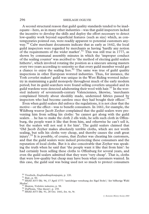#### 296 SHEILAGH OGILVIE

A second structural reason that guild quality standards tended to be inadequate—here, as in many other industries—was that guild inspectors lacked the incentive to develop the skills and deploy the effort necessary to detect low-quality work beyond superficial features (such as size) which, as contemporaries pointed out, were readily apparent to potential customers anyway.<sup>50</sup> Calw merchant documents indicate that as early as  $1642$ , the local guild inspectors were regarded by merchants as having 'hardly any notion of the requirements of the wider market'.<sup>51</sup> This was still true in 1777, as shown by communal assembly minutes in which the 'improper conduct of the sealing counter' was ascribed to 'the method of electing guild sealers hitherto', which involved rotating the position as a sinecure among masters every two years according to seniority so that every guild member would get a chance to enjoy the sealing fees.<sup>52</sup> The same was true of guild quality inspections in other European worsted industries. Thus, for instance, the York coverlet makers' guild was unique in the West Riding worsted industry in maintaining a guild monopoly throughout much of the early modern period; but its guild searchers were found selling coverlets unsealed and its guild wardens were detected adulterating their wool with hair.<sup>53</sup> In the worsted industry of seventeenth-century Valenciennes, likewise, 'merchants complained bitterly about shoddily made, undersized fabrics passed by inspectors who had become careless once they had bought their offices'.<sup>54</sup>

Even when guild sealers did enforce the regulations, it is not clear that the motive—or the effect—was to benefit consumers. In 1661, for example, the Wildberg weaver Jacob Zeyher complained that the guild sealers were preventing him from selling his cloths: 'he cannot get along with the guild sealers... he has to make the cloth 2 ells wide, he sells such cloth in Offenburg, the people want it like that from him, and otherwise he can't sell it, but the sealers will not seal it for him'. The guild sealers claimed that 'Old Jacob Zeyher makes absolutely terrible cloths, which are not worth sealing, but sells his cloths very cheap, and thereby causes the craft great injury'. <sup>55</sup> It is possible, of course, that Zeyher was cheating his customers, and that the guild sealers were indeed protecting these consumers and the reputation of local cloths. But it is also conceivable that Zeyher was speaking the truth when he said that 'the people want it like that from him': he had certainly been selling these cloths to Offenburg for several years, and even the guild sealers admitted that they were 'very cheap'. That is, cloths that were low-quality but cheap may have been what customers wanted. In this case, the guild seal was being used not so much to protect consumers

<sup>&</sup>lt;sup>50</sup> Troeltsch, *Zeughandlungskompagnie*, p. 120.<br><sup>51</sup> Ibid., p. 90.<br><sup>52</sup> HSAS A573 Bü. 96, 17 April 1777: 'unrichtiger versehung des Sigel Stoks'; 'der bißherige Wahl<br>Modus'.

<sup>&</sup>lt;sup>53</sup> Heaton, *Yorkshire industries*, p. 58.<br><sup>54</sup> DuPlessis, 'One theory', p. 159.<br><sup>55</sup> HSAS A573 Bü. 91, 28 Oct. 1661, fos. 6r, 9r.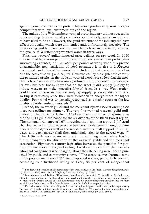against poor products as to protect high-cost producers against cheaper competitors with loyal customers outside the region.

The guilds of the Württemberg worsted proto-industry did not succeed in implementing their own quality controls very effectively, and seem not even to have tried to do so. However, the guild structure of the industry did have effects on quality which were unintended and, unfortunately, negative. The interlocking guilds of weavers and merchant-dyers inadvertently affected the quality of Württemberg worsted wares in three ways.

First, the weavers' guilds imposed price ceilings on raw wool. In 1650 they secured legislation permitting wool suppliers a maximum profit (after subtracting expenses) of 1 Kreutzer per pound of wool; when this proved unsustainable, new legislation of 1665 permitted it to rise to 2 Kreutzer per pound, and allowed 'expenses' to include not just transport costs but also the costs of sorting and capital. Nevertheless, by the eighteenth century the permitted profits on the trade in worsted wool were so low that the merchant-dyers' association often simply refused to supply wool to the weavers; its own business books show that on the wool it did supply (mainly to induce weavers to make specialist fabrics) it made a loss. Wool traders could therefore stay in business only by supplying low-quality wool and sorting it carelessly, since they were forbidden to charge more for higher quality. Poor wool was universally recognized as a major cause of the low quality of Württemberg worsteds.<sup>56</sup>

Second, the weavers' guilds and the merchant-dyers' association imposed piece-rate ceilings on spinners. The very first worsted weavers' guild ordinance for the district of Calw in 1589 set maximum rates for spinners, as did the 1611 guild ordinance for the six districts of the Black Forest region. The national ordinance of 1654 provided that 'spinning a pound [of yarn] shall be paid at as high a wage as the [weavers'] craft agrees among its members, and the dyers as well as the worsted weavers shall support this in all ways, and each master shall then unfailingly stick to the agreed wage'.<sup>57</sup> The 1686 ordinance again set maximum spinning rates, while leaving future changes to the discretion of the weavers' guilds and the merchant association. Eighteenth-century legislation increased the penalties for paying spinners above the agreed ceiling. Local records confirm that weavers who paid (or spinners who charged) above the rate ceiling were indeed punished by guilds and community courts.<sup>58</sup> These rate ceilings harmed some of the poorest members of Württemberg rural society, particularly women: according to a livelihood listing of 1736, 86 per cent of independent

C Economic History Society 2004

<sup>&</sup>lt;sup>56</sup> For detailed discussion of this regulation of the wool trade, see Troeltsch, Zeughandlungskompagnie, pp. 97-101, 154-6, 165, 199; and Ogilvie, *State corporatism*, pp. 352-3.<br><sup>57</sup> Emendations dated 1654 to 'Engelsattweberordnung', here article 21 (p. 446, n. 2): 'solle vom

Pfundt ... Zuespinnen, so vihl alss sich ein handwerckh mit einander vergleichen würdt zuelohn geraicht werden, vnd die Färber sowohl allss die Knappen hierzue alle guete befürderung erweisen, bey welchem<br>vereinbarten Lohn alssdann Ein Jeder Maister ... würdt ohnfehlbar verpleiben solle'.

 $58$  For a discussion of the rate ceilings and other restrictions imposed on the unorganized spinners by the weavers' guilds and the merchant company, see Ogilvie, 'Women and proto-industrialisation', pp. 86-8; eadem, State corporatism, pp. 354-5; and eadem, Bitter living, pp. 292, 307-8.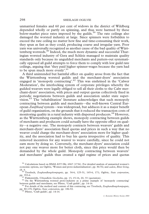unmarried females and 60 per cent of widows in the district of Wildberg depended wholly or partly on spinning, and thus were harmed by these below-market piece rates imposed by the guilds.<sup>59</sup> The rate ceilings also damaged the worsted industry at large. Since spinners were forbidden to exceed the rate ceiling no matter how fine and time-consuming their work, they spun as fast as they could, producing coarse and irregular yarn. Poor yarn was universally recognized as another cause of the bad quality of Württemberg worsteds.<sup>60</sup> Indeed, the much more dynamic and successful Thuringian worsted industry of Gera and Schleiz managed to maintain quality standards only because its unguilded merchants and putters-out systematically opposed all guild attempts to force them to comply with low guild rate ceilings, arguing that 'they paid higher spinner-wages because the yarn had to be spun much more evenly'. 61

A third unintended but harmful effect on quality arose from the fact that the Württemberg worsted guilds and the merchant-dyers' association engaged in 'monopoly contracting'. <sup>62</sup> This was enshrined in the 'Calwer Moderation', the interlocking system of corporate privileges whereby the guilded weavers were legally obliged to sell all their cloths to the Calw merchant-dyers' association, with prices and output quotas collectively fixed in periodic negotiations between guilds and association under state supervision.<sup>63</sup> The 'rehabilitation' literature acknowledges that such monopoly contracting between guilds and merchants—the well-known Central European Zunftkauf system—was widespread, but adduces it as a major benefit of guild organization, on the grounds that it reduced the transaction costs of monitoring quality in a rural industry with dispersed producers.<sup>64</sup> However, as the Württemberg example shows, monopoly contracting between guilds of merchants and producers could actually have the opposite effect on quality—a negative one. The monopoly contracts between weavers' guilds and merchant-dyers' association fixed quotas and prices in such a way that no weaver could charge the merchant-dyers' association more for higher quality, and the association had to buy his quota irrespective of quality. This removed incentives for any weaver to weave carefully, since he could not earn more by doing so. Conversely, the merchant-dyers' association could not pay one weaver more for better cloth, since this price would then be demanded by the whole guild. Monopoly contracting between weavers' and merchants' guilds thus created a rigid regime of prices and quotas

<sup>&</sup>lt;sup>59</sup> Calculations based on HSAS A573 Bü. 6967 (1736). For detailed analysis of unmarried women's economic options, see Ogilvie, 'Women and proto-industrialisation', pp. 86-92; and eadem, Bitter living,

ch. 6. 60 Troeltsch, *Zeughandlungskompagnie*, pp. 34-6, 125-31, 165-6, 171; Ogilvie, *State corporatism*,

pp. 353-6.<br><sup>61</sup> Finkenwirth, *Urkundliche Geschichte*, pp. 13, 15-16, 20, 33 (quotation).<br><sup>62</sup> On the Württemberg worsted proto-industry as a prime example of 'monopoly contracting'<br>between guilds and merchants, see Pfist

 $\epsilon^{63}$  For details of the method and content of this contracing, see Troeltsch, Zeughandlungskompagnie, pp. 80-135; Ogilvie, State corporatism, pp. 186-92.<br><sup>64</sup> Pfister, 'Craft guilds', pp. 14-16.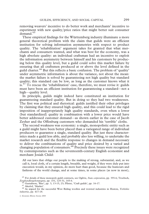removing weavers' incentive to do better work and merchants' incentive to experiment with new quality/price ratios that might better suit consumer demand.<sup>65</sup>

These empirical findings for the Württemberg industry illuminate a more general theoretical problem with the claim that guilds were an efficient institution for solving information asymmetries with respect to product quality. The 'rehabilitation' argument takes for granted that what merchants and consumers wanted, and what was best for the economy, was a high absolute quality: an individual craftsman had an incentive to exploit the information asymmetry between himself and his customers by producing below this quality level, but a guild could solve this market failure by ensuring that all craftsmen produced at or above the level defined in the guild charter.<sup>66</sup> But this reflects a basic confusion. The problem of 'quality' under asymmetric information is about the variance, not about the mean: the market failure is solved by guaranteeing not high quality but standard quality; this standard can be low, as long as the customer knows what it is.<sup>67</sup> To rescue the 'rehabilitation' case, therefore, we must revise it: guilds must have been an efficient institution for guaranteeing a standard—not a high—quality level.

In principle, guilds might indeed have constituted an institution for guaranteeing standard quality. But in doing so they had two weaknesses. The first was political and rhetorical: guilds justified their other privileges by claiming that they ensured high quality, and this could lead to the rigid imposition of inappropriately high quality standards, even when a lower (but standardized) quality in combination with a lower price would have better addressed customer demand—as shown earlier in the case of Jacob Zeyher and the Offenburg customers who demanded his 'terrible' cloths.

The second weakness was economic: a single, monopolistic entity such as a guild might have been better placed than a variegated range of individual producers to guarantee a single, standard quality. But just these characteristics made a guild less able, and probably also less willing, to undertake the market research and the flexible response to changes in demand necessary to deliver the combinations of quality and price desired by a varied and changing population of consumers.<sup>68</sup> Precisely these issues were recognized by contemporaries such as the seventeenth-century English economist and merchant Josiah Child:

All our laws that oblige our people to the making of strong, substantial, and, as we call it, loyal cloth, of a certain length, breadth, and weight, if they were duly put into execution would, in my opinion, do more hurt than good, because the humours and fashions of the world change, and at some times, in some places (as now in most),

<sup>&</sup>lt;sup>65</sup> For details of these monopoly guild contracts, see Ogilvie, *State corporatism*, pp. 355-6; Troeltsch, Zeughandlungskompagnie, pp. 101, 125-31, 165-6.

<sup>&</sup>lt;sup>66</sup> Gustafsson, 'Rise', pp. 3, 13-15, 23; Pfister, 'Craft guilds', pp. 16-17.<br><sup>67</sup> Akerlof, 'Market'.<br><sup>68</sup> As argued for the successful West Riding woollen and worsted industries in Heaton, *Yorkshire* industries, pp. 417-18.

 $\oslash$  Economic History Society 2004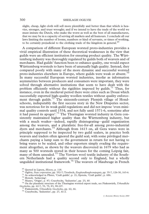#### 300 SHEILAGH OGILVIE

slight, cheap, light cloth will sell more plentifully and better than that which is heavier, stronger, and truer wrought; and if we intend to have the trade of the world we must imitate the Dutch, who make the worst as well as the best of all manufactures, that we may be in a capacity of serving all markets and all humours. I conclude all our laws limiting the number of looms, numbers or kind of servants, or times of working, to be certainly prejudicial to the clothing trade of the kingdom in general.<sup>69</sup>

A comparison of different European worsted proto-industries provides a vivid empirical illustration of these theoretical weaknesses in the view that guilds were an efficient institution for ensuring product quality. The Württemberg industry was thoroughly regulated by guilds both of weavers and of merchants. Had guilds' function been to enhance quality, one would expect Württemberg worsteds to have been of unusually high quality. Instead, they compared poorly with many of the more dynamic and successful worsted proto-industries elsewhere in Europe, where guilds were weak or absent.<sup>70</sup> In many successful European worsted industries, insofar as information asymmetries between producers and consumers were important, they were solved through alternative institutions that seem to have dealt with the problem efficiently without the rigidities imposed by guilds.<sup>71</sup> Thus, for instance, even in the medieval period there were cities such as Douai which successfully exported high-quality woollen textiles without quality enforcement through guilds.<sup>72</sup> The sixteenth-century Flemish village of Hondschoote, indisputably the first success story in the New Draperies sector, was notorious for its weak guild regulations and did not impose 'even minimal quality controls until 1534, and not fully until 1571-6, sometime after it had passed its apogee'. <sup>73</sup> The Thuringian worsted industry in Gera consistently maintained higher quality than the Württemberg industry, but with a much weaker—indeed, rapidly disintegrating—guild organization among the weavers, and a pluralistic free-for-all among proto-industrial dyers and merchants.74 Although from 1613 on, all Gera wares were in principle supposed to be inspected by two guild sealers, in practice both weavers and traders often ignored the guild seal, with some privileged merchants paying a lump sum to the government in return for not having to bring wares to be sealed, and other exporters simply evading the requirement altogether, as shown by the weavers discovered in 1679 who had as many as 500 worsteds stored in their houses for the coming Leipzig fair, many of them unsealed.<sup>75</sup> The Verviers wool textile industry of the Southern Netherlands had a quality second only to England, but a wholly unguilded institutional framework.<sup>76</sup> The weavers of Maubeuge in French

<sup>&</sup>lt;sup>69</sup> Quoted in Lipson, *History*, p. 118.<br><sup>70</sup> Ogilvie, *State corporatism*, pp. 352-7; Troeltsch, *Zeughandlungksompagnie*, pp. 35-7, 126-30, 163-6.<br><sup>71</sup> As acknowledged in Pfister, 'Craft guilds', p. 21; Epstein, 'Craft Geschichte, pp. 62-7, 70, 79, 83, 98-107.<br><sup>75</sup> Finkenwirth, Urkundliche Geschichte, pp. 62, 66.<br><sup>76</sup> Craeybeckx, 'Industries', pp. 27, 41-2.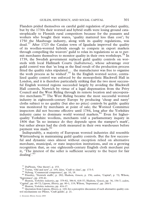Flanders prided themselves on careful guild regulation of product quality, but by the 1730s their worsted and hybrid stuffs were losing ground catastrophically to Flemish rural competitors because for the peasants and workers who bought their wares, 'quality mattered less than cost'; by 1750 the Maubeuge industry, along with its quality regulations, was dead.<sup>77</sup> After 1723 the Catalan town of Igualada improved the quality of its woollen-worsted hybrids enough to compete in export markets through compelling the weavers' guild to relax its regulations so as to permit merchants themselves to monitor quality in their own workshops.<sup>78</sup> In 1739, the Swedish government replaced guild quality controls on worsteds with local Hallmark Courts (hallratterna), whose advantage over guild control was that 'as long as the final result of the production process fitted the quality rules stipulated ... the manufacturer was free to organise the work process as he wished'. <sup>79</sup> In the English worsted sector, centralized quality control was enforced by the monopolistic Blackwell Hall in London, and it is therefore particularly striking that the two most successful English worsted regions succeeded largely by avoiding the Blackwell Hall controls, Norwich by virtue of a legal dispensation from the Privy Council and the West Riding through its remote location and uncooperative merchants.80 The West Riding became the most successful worsted industry in eighteenth-century Europe by producing 'cheap and nasty' cloths subject to no quality (but also no price) controls by guilds: quality was monitored by merchants at point of sale; the Worsted Committee inspectors did not become effective until 1784, long after the Yorkshire industry came to dominate world worsted markets.<sup>81</sup> Even for higherquality Yorkshire woollens, merchants told a parliamentary inquiry in 1806 that 'In no instance do they depende upon the stamper's mark', but rather always had the cloth measured in their own warehouses before payment was made.<sup>82</sup>

Indisputably, a majority of European worsted industries did resemble Württemberg in maintaining guild quality controls. But the few successful and dynamic ones almost without exception relied on alternative merchant, municipal, or state inspection institutions, and on a growing recognition that, as one eighteenth-century English cloth merchant put it, 'The interest of the seller is sufficient security to the buyer for fair dealing'. 83

 $^{82}$  Heaton, *Yorkshire industries*, pp. 416-17.<br><sup>83</sup> Ouotation from Lipson, *History*, p. 120; for a perceptive discussion of such alternative quality control mechanisms see Pfister, 'Craft guilds', p. 21.

 $\oslash$  Economic History Society 2004

<sup>&</sup>lt;sup>77</sup> DuPlessis, 'One theory', p. 153.<br><sup>78</sup> Torras, 'Old and new', p. 105; *Idem*, 'Craft to class', pp. 173-5.<br><sup>79</sup> Nyberg, 'Commercial competence', pp. 10, 18.<br><sup>80</sup> Priestley, 'Norwich stuffs', p. 282; Hudson, *Genesis*,

<sup>&</sup>lt;sup>81</sup> Heaton, *Yorkshire industries*, pp. 379-82, 386-8, 418-37; Hudson, *Genesis*, pp. 36, 156-7; *eadem*, 'Capital', pp. 69-72; Lipson, *History*, pp. 80-1, 119; Wilson, 'Supremacy', pp. 244-5.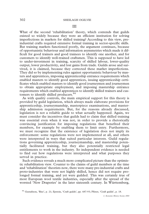#### III

What of the second 'rehabilitation' theory, which contends that guilds existed so widely because they were an efficient institution for solving imperfections in markets for skilled training? According to this view, preindustrial crafts required extensive formal training in sector-specific skills. But training markets functioned poorly, the argument continues, because of opportunistic behaviour and information asymmetries which made it difficult for good trainers and good trainees to identify one another, and for customers to identify well-trained craftsmen. This is supposed to have led to under-investment in training, scarcity of skilled labour, lower-quality output, lower productivity, and lost gains from trade. Guilds arose and survived, it is claimed, because they corrected these market imperfections. They did so by implementing rules against opportunistic behaviour by masters and apprentices, imposing apprenticeship entrance requirements which enabled masters to identify good apprentices, issuing apprenticeship certificates which enabled masters to identify good journeymen and journeymen to obtain appropriate employment, and imposing mastership entrance requirements which enabled apprentices to identify skilled trainers and customers to identify skilled producers.<sup>84</sup>

As with quality controls, the main empirical support for this theory is provided by guild legislation, which always made elaborate provisions for apprenticeship, journeymanship, masterpiece examinations, and mastership admission requirements. But, for the reasons already discussed, legislation is not a reliable guide to what actually happened. Again, we must consider the incentives that guilds had to claim that skilled training was essential even when it was not, in order to provide a rhetorically convincing justification for imposing regulations that benefited their members, for example by enabling them to limit entry. Furthermore, we must recognize that the existence of legislation does not imply its enforcement: some regulations were not implemented at all, and others were interpreted in ways that suited particular interests. Guild regulations governing apprenticeship, journeymanship, and mastership potentially facilitated training, but they also potentially restricted legal entitlements to work in the industry. So independent evidence is needed to find out how regulations were interpreted and what purposes they served in practice.

Such evidence reveals a much more complicated picture than the optimistic rehabilitation view. Counter to the claims of guild members at the time and 'rehabilitation' theorists now, there were many pre-industrial crafts and proto-industries that were not highly skilled, hence did not require prolonged formal training, and yet were guilded. This was certainly true of most European wool textile industries, especially after the spread of the worsted 'New Draperies' in the later sixteenth century. In Württemberg,

<sup>84</sup> Gustafsson, 'Rise', p. 21; Epstein, 'Craft guilds', pp. 687-93; Pfister, 'Craft guilds', p. 18.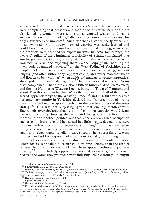as early as 1582 disgruntled masters of the Calw woollen weavers' guild were complaining that peasants and men of other crafts, 'here and there also joined by women', were setting up as worsted weavers and selling successfully on export markets, 'after learning combing and weaving for only a few weeks or months'.<sup>85</sup> Such evidence exists for nearly every European worsted proto-industry: worsted weaving was easily learned and could be successfully practised without formal guild training, even when the products were destined for export markets. In 1592, for instance, the weavers' guilds of the Thuringian principality of Schleiz complained that smiths, goldsmiths, tanners, tailors, bakers, and shopkeepers were weaving worsteds en masse and exporting them via the Leipzig fairs, harming the livelihoods of guilded weavers.<sup>86</sup> In the West Riding of Yorkshire, rural people took up first woollen weaving, then worsted weaving, without lengthy (and often without any) apprenticeship, and 'every man that wolde had libertie to be a clothier'; when guilds did manage to secure apprenticeship legislation, it was widely ignored.87 In 1702, worsted weavers in Somerset complained 'That there are about Fifteen hundred Woollen Weavers, and the like Number of Weaving Looms, in the ... Town of Taunton, and about Two thousand within Five Miles thereof, and not Half of them have served Apprenticeships to the Weaving Trade',  $^{88}$  and in 1800 a witness to a parliamentary inquiry in Yorkshire declared that 'nineteen out of twenty have not served regular apprenticeships in the textile industry of the West Riding'. <sup>89</sup> This was not surprising, given that one eighteenth-century English observer declared that 'a boy of common capacity would learn weaving, including dressing the warp and fixing it in the loom, in 6 months',<sup>90</sup> and another pointed out that since even a skilled occupation such as cloth dressing 'could be learned in a little over twelve months, there was not the least occasion for seven years' training'.<sup>91</sup> Similar direct testimony survives for nearly every part of early modern Europe: most worsted—and even many woollen—wares could be successfully woven, finished, and sold on export markets without formal guild training.

Indirect evidence confirms the direct testimony of contemporaries. 'Encroachers' who failed to secure guild training—often, as in the case of females, because guilds excluded them from apprenticeship and journeymanship<sup>92</sup>—were bitterly opposed by worsted weavers' guilds precisely because the wares they produced were indistinguishable from guild output

- 
- 

<sup>85</sup> Troeltsch, *Zeughandlungskompagnie*, pp. 10-11.<br><sup>86</sup> Finkenwirth, *Urkundliche Geschichte*, pp. 30-1.<br><sup>87</sup> Heaton, *Yorkshire industries*, pp. 101-7 (quotation from p. 102); Lipson, *History*, pp. 60-1, 74-5.<br><sup>88</sup> 'Pe

<sup>89</sup> Heaton, *Yorkshire industries*, pp. 310-11.<br><sup>90</sup> Lipson, *History*, p. 60.<br><sup>91</sup> Heaton, *Yorkshire industries*, pp. 310-11.<br><sup>92</sup> For a detailed discussion of the few, exceptional cases (mainly medieval) in which guil girls as apprentices, see Ogilvie, Bitter living, pp. 96-7; Roper, Holy household, pp. 44-9; Stuart, Defiled trades, pp. 213-19; Hafter, 'Underground business', pp. 14-18, 27-32; Rule, 'Property', p. 107.

 $C$  Economic History Society 2004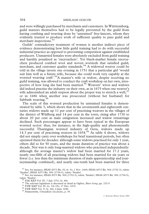and were willingly purchased by merchants and customers. In Württemberg, guild masters themselves had to be legally prevented by the guild from having combing and weaving done by 'untrained' free-lancers, whom they evidently trusted to produce work of sufficient quality to pass guild and merchant inspections.<sup>93</sup>

Guilds' contradictory treatment of women is another indirect piece of evidence demonstrating how little guild training had to do with successful industrial practice as opposed to preventing competition against established producers. Unmarried females were absolutely excluded from guild training and harshly penalized as 'encroachers'. Yet black-market female encroachers produced combed wool and woven worsteds that satisfied guild, merchant, and customer quality standards.<sup>94</sup> A widowed weaver could be told in the village tavern one evening in 1751 that a particular girl 'would suit him well as a future wife, because she could work very capably at the worsted weaving craft'. 95A master's wife or widow, despite receiving no guild training, was allowed to conduct the craft workshop on her own, irrespective of how long she had been married.<sup>96</sup> Weavers' wives and widows did indeed practise the industry on their own, as in 1675 when one weaver's wife admonished an adult stepson about the proper way to stretch a weft,  $97$ or in 1686 when another was prosecuted (without her husband) for Sabbath weaving.<sup>98</sup>

The scale of this worsted production by untrained females is demonstrated by table 3, which shows that in the seventeenth and eighteenth centuries widows made up 11 per cent of practising weavers in the villages of the district of Wildberg and 14 per cent in the town, rising after 1730 to about 20 per cent as male emigration increased and widow remarriage declined. Such percentages appear to have been typical in the European worsted sector: thus, for instance, in the high-quality and phenomenally successful Thuringian worsted industry of Gera, widows made up 14.3 per cent of practising weavers in  $1654.^{99}$  As table 4 shows, widows did not simply carry over workshops for brief transitional periods, but often operated them for decades: although some widows practised for only 1 year, others did so for 50 years, and the mean duration of practice was about a decade. Nor was it only long-married widows who practised independently: although the average master's widow had been married for 17.2 years, nearly one-fifth of all practising widows had been married for six years or fewer (i.e. less than the minimum duration of male apprenticeship and journeymanship combined), and nearly one-tenth had been married for three

<sup>&</sup>lt;sup>93</sup> See, for instance, HSAS A573 Bü. 92, fo. 5v, 1 Nov. 1669; HSAS A573 Bü. 904 (1752-3), rubric 'Strafen'; HSAS A573 Bü. 906 (1754-5), rubric 'Strafen'.

 $^{94}$  See, for instance, HSAS A573 Bü. 904 (1752-3), rubric 'Strafen'; HSAS A573 Bü. 906 (1754-5), rubric 'Strafen'.

<sup>&</sup>lt;sup>95</sup> PAE KKP Vol. IV, 7 July 1751, fo. 80r.<br><sup>96</sup> The relevant legislation is discussed in detail in Ogilvie, *Bitter living*, pp. 232-5.<br><sup>97</sup> PAW KKP Vol. IV, fo. 33r-33v, 17 Dec. 1675.<br><sup>98</sup> PAW KKP Vol. V, fo. 60r, 4 Jun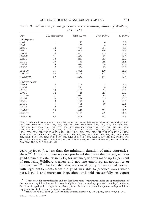| No. observations | Total weavers  | Total widows   | $%$ widows |
|------------------|----------------|----------------|------------|
|                  |                |                |            |
| $\mathbf{1}$     | 73             | 6              | 8.2        |
| $\mathbf{1}$     | 123            | $\overline{4}$ | 3.3        |
| 14               | 1,729          | 154            | 8.9        |
| 19               | 1,903          | 256            | 13.5       |
| 14               | 1,461          | 253            | 17.3       |
| 11               | 1,054          | 149            | 14.1       |
| 10               | 1,267          | 153            | 12.1       |
| 10               | 1,170          | 185            | 15.8       |
| 5                | 620            | 159            | 25.6       |
| $\overline{c}$   | 224            | 42             | 18.8       |
| 35               | 3,828          | 420            | 11.0       |
| 52               | 5,796          | 941            | 16.2       |
| 87               | 9,624          | 1,361          | 14.1       |
|                  |                |                |            |
| $\overline{c}$   | 106            | $\overline{2}$ | 1.9        |
| 12               | 774            | 69             | 8.9        |
| 19               | 1,169          | 161            | 13.8       |
| 14               | 1,115          | 113            | 10.1       |
| 11               | 1,011          | 85             | 8.4        |
| 10               | 1,189          | 145            | 12.2       |
| 9                | 1,178          | 171            | 14.5       |
| 5                | 688            | 88             | 12.8       |
|                  | 276            | 27             | 9.8        |
| 33               | 2,049          | 232            | 11.3       |
| 51               | 5,457          | 629            | 11.5       |
| 84               | 7,506          | 861            | 11.5       |
|                  | $\overline{c}$ |                |            |

Table 3. Widows as percentage of total worsted-weavers, district of Wildberg, 1641-1755

Notes: Calculations based on numbers of practising weavers paying guild dues or attending guild assemblies in 1641, 1667, 1668, 1680, 1681, 1682, 1683, 1684, 1685, 1687, 1688, 1689, 1690, 1691, 1692, 1693, 1694, 1695, 1696, 1697, 1698, 1699, 1700, 1701, 1702, 1703, 1704, 1705, 1706, 1707, 1708, 1709, 1710, 1711, 1712, 1713, 1714, 1715, 1716, 1717, 1718, 1719, 1720, 1721, 1722, 1723, 1724, 1725, 1726, 1727, 1728, 1729, 1730, 1731, 1733, 1734, 1735, 1736, 1737, 1738, 1739, 1740, 1741, 1743, 1745, 1748, 1750, 1752, 1754, 1755, 1756, 1757, and 1758. Source: HSAS A573 Bü. 816, 823, 835, 836, 837, 838, 839, 840, 841, 842, 843, 844, 845, 846, 847, 848, 849, 850, 851, 852, 853, 854, 855, 856, 857, 858, 859, 860, 861, 862, 863, 864, 865, 865, 866, 867, 868, 869, 870, 871, 872, 873, 874, 875, 876, 877, 878, 879, 880, 881, 882, 883, 884, 885, 886, 887, 888, 889, 890, 891, 892, 893, 895, 897, 900, 902, 904, 906, 907, 908, 909, 910.

years or fewer (i.e. less than the minimum duration of male apprenticeship).<sup>100</sup> Almost all these widows produced the wares themselves, without guild-trained assistants: in 1717, for instance, widows made up 14 per cent of practising Wildberg weavers and not one employed an apprentice or journeyman.<sup>101</sup> The fact that this non-trivial group of untrained women with legal entitlements from the guild was able to produce wares which passed guild and merchant inspections and sold successfully on export

<sup>&</sup>lt;sup>100</sup> Three years for apprenticeship and another three years for journeymanship are approximations of the minimum legal duration. As discussed in Ogilvie, *State corporatism*, pp. 139-51, the legal minimum duration changed with changes in legislation, from three to six years for apprenticeship and from two-and-a-half to five years for journeymanship.

<sup>&</sup>lt;sup>101</sup> HSAS A573 Bü. 6965 (1717); for more detailed discussion, see Ogilvie, Bitter living, p. 260.

 $C$  Economic History Society 2004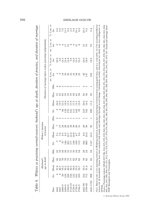|                                                                          |                  | age at                       | death<br>Husband's |                 |                  | Widow's duration<br>of practice |                 |      |                  |                            |                 |               |                              | Duration of marriage before widow practising independently |                                                                                                                                                                                                                                                                                                                                                                    |                          |
|--------------------------------------------------------------------------|------------------|------------------------------|--------------------|-----------------|------------------|---------------------------------|-----------------|------|------------------|----------------------------|-----------------|---------------|------------------------------|------------------------------------------------------------|--------------------------------------------------------------------------------------------------------------------------------------------------------------------------------------------------------------------------------------------------------------------------------------------------------------------------------------------------------------------|--------------------------|
| Date                                                                     | χò.              | Mean                         | Max.               | Min.            | Νo.              | Mean                            | Max.            | Min. | χø.              | Mean                       | Max.            | Min.          | $6$ yrs. $or$<br>less<br>no. | $\mathcal{O}^*$<br>$\%$ 6 yrs.<br>less                     | $\mathcal{O}^*$<br>3 yrs.<br>less<br>no.                                                                                                                                                                                                                                                                                                                           | ö<br>$\%$ 3 yrs.<br>less |
|                                                                          |                  |                              | $^{60}$            | 42              |                  |                                 |                 |      |                  |                            |                 |               |                              | 20.0                                                       |                                                                                                                                                                                                                                                                                                                                                                    | 0.0                      |
|                                                                          |                  | 8<br>1650904604<br>566095666 |                    |                 |                  | 7.6                             |                 |      |                  | 20.0<br>15.5               |                 | ∞             |                              | 0.0                                                        | $\circ$                                                                                                                                                                                                                                                                                                                                                            | 0.0                      |
|                                                                          | 80               |                              | 62<br>78           |                 | 78               | 8.5                             | $13^{24}$       |      | 86               | 23.2                       |                 | $\mathcal{C}$ | Ξ,                           | 16.3                                                       |                                                                                                                                                                                                                                                                                                                                                                    | $\overline{7.0}$         |
|                                                                          | 129              |                              | 78                 | # 8 8 2 5 6 4 4 | 146              | 8.5                             |                 |      | 129              | 19.0                       | 39              | $\mathcal{L}$ | $\overline{\mathcal{E}}$     | 23.4                                                       |                                                                                                                                                                                                                                                                                                                                                                    | 13.3                     |
|                                                                          | 228              |                              | 75                 |                 | 263              | 10.7                            | 88388           |      |                  | 17.9                       | 3084            | $\sim$        |                              | 12.4                                                       | $\overline{c}$                                                                                                                                                                                                                                                                                                                                                     |                          |
|                                                                          | 156              |                              | 77                 |                 | 174021<br>149021 | $12.4$<br>$10.8$<br>$8.7$       |                 |      | $233$<br>$11295$ | $17.5$<br>$17.5$<br>$13.1$ |                 |               | $\frac{29}{16}$              | 9.9                                                        | 4                                                                                                                                                                                                                                                                                                                                                                  | $0.04$<br>$0.04$         |
|                                                                          |                  |                              | 82                 |                 |                  |                                 |                 |      |                  |                            |                 |               | 16                           |                                                            | $\circ$                                                                                                                                                                                                                                                                                                                                                            |                          |
|                                                                          | $\frac{22}{165}$ |                              |                    |                 |                  |                                 |                 |      |                  |                            |                 |               | 54                           | 14.4<br>33.3                                               | $\overline{31}$                                                                                                                                                                                                                                                                                                                                                    | 19.1                     |
| 1641<br>1667<br>1680-9<br>1680-9<br>1700-9<br>1710-9<br>1720-9<br>1730-9 |                  |                              | 82                 |                 |                  | 0.6                             | $\overline{51}$ |      |                  | 12.9                       | 38              |               | 22                           | 23.2                                                       | ∞                                                                                                                                                                                                                                                                                                                                                                  | 8.4                      |
| 1641-99<br>1700-45                                                       |                  |                              | 78                 |                 |                  |                                 | 28              |      |                  | 20.6                       | $\overline{50}$ |               | 45                           | 20.2                                                       |                                                                                                                                                                                                                                                                                                                                                                    | 10.3                     |
|                                                                          | 216<br>772       | 52.3<br>51.4                 | 82                 | 28              | 242<br>885       | $\frac{4}{6}$ .4                | 50              |      | 223<br>762       | 16.2                       | 38              |               | 137                          | 18.0                                                       | $\frac{23}{70}$                                                                                                                                                                                                                                                                                                                                                    | 9.2                      |
| 1641-1745                                                                | 988              | 51.6                         | 82                 | 24              | 1127             | 10.0                            | $\overline{50}$ |      | 985              | 17.2                       | 50              |               | 182                          | 18.5                                                       | 93                                                                                                                                                                                                                                                                                                                                                                 | 9.4                      |
| missing.                                                                 |                  |                              |                    |                 |                  |                                 |                 |      |                  |                            |                 |               |                              |                                                            | Note:: Based on the 1,161 practising widows in Wildberg named in surviving lists of practising worsted-weavers paying guild dues, and in a 'soul-table' of 1736 recording livelihood<br>sources for all households. Names have been matched with burials and marriages through record linkage. Calculations exclude observations for which links were ambiguous or |                          |

*Sources:* Practising widows: HSAS A573 Bü. 816, 823, 835, 839, 840, 841, 842, 845, 847, 848, 848, 851, 853, 853, 853, 857, 858, 859, 860, 861, 862, 863, 864,<br>865, 866, 867, 868, 869, 870, 871, 872, 874, 876, 877, 878, 880 S*ources: Practising widows: HSAS A573 Bü.*. 816, 823, 835, 839, 840, 841, 843, 846, 847, 848, 849, 850, 853, 853, 853, 853, 853, 859, 860, 861, 862, 864, 854, 87; 858, 859, 860, 861, 863, 864, 87, 858, 860, 861, 863, 864, 865, 866, 867, 868, 869, 870, 871, 872, 873, 874, 876, 877, 878, 879, 880, 881, 882, 883, 884, 885, 886, 887, 888, 889, 890, 891, 892, 893, 895, 967. Death and marriage dates: PAW Eheregister and Totenregiste.

Table 4. Widows as practising worsted-weavers: husband's age at death, duration of practice, and duration of marriage

Table 4. Widows as practising worsted-weavers: husband's age at death, duration of practice, and duration of marriage

# 306 SHEILAGH OGILVIE

 $\odot$  Economic History Society 2004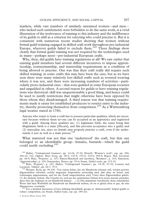markets, while vast numbers of similarly untrained women—and men who lacked such entitlements were forbidden to do the same work, is a vivid illustration of the irrelevance of training to this industry and the indifference of its guilds to skill as a criterion for selecting who could practise it. But it is consistent with numerous recent studies showing that women without formal guild training engaged in skilled craft work throughout pre-industrial Europe, wherever guilds failed to exclude them.<sup>102</sup> These findings show clearly that formal guild training was not required by the technologies used in many—perhaps most—pre-industrial European crafts.

Why, then, did guilds have training regulations at all? We saw earlier that existing guild members had several different incentives to impose apprenticeship, journeymanship, and mastership requirements as a condition of being allowed to practise. One was that their craft really did require such skilled training; in some crafts this may have been the case, but as we have seen there were many relatively low-skilled crafts such as worsted weaving where it was not, and there were increasing numbers of activities—particularly proto-industrial ones—that were guilded in some European societies and unguilded in others. A second reason for guilds to have training regulations was rhetorical: skill was unquestionably a good thing, and hence could be used to justify restrictions that might otherwise have been opposed by those whom they disadvantaged. A third reason was that training requirements made it easier for established producers to restrict entry to the industry, thereby protecting themselves from competition.<sup>103</sup> As a Württemberg legal treatise stated in 1780,

Anyone who wants to learn a craft has to possess particular qualities, which are necessary because without them no-one can be accepted as an apprentice and registered with a guild. Among these qualities are: (1) legitimate birth, the cause being that illegitimate birth is a stain  $[Macula]$ , and this prevents acceptance into a guild; and (2) masculine sex, since no female may properly practise a craft, even if she understands it just as well as a male person.<sup>104</sup>

What mattered was not that one 'understood' the craft, but that one belonged to an identifiable group—females, bastards—which the guild could justify excluding.105

<sup>102</sup> Hafter, 'Underground business', pp. 14-18, 27-32; Howell, 'Women's work', esp. pp. 200, 206-10, 212; Ogilvie, Bitter living, pp. 96-9, 127-8, 153-9, 232-6, 295-8; Roper, Holy household, pp. 44-9; Rule, 'Property', p. 107; Simon-Muscheid and Jacobsen, 'Resümee', p. 163; Simonton,

<sup>2</sup>Apprenticeship', p. 230; Sonenscher, Hatters, pp. 35-6; Stuart, *Defiled trades*, pp. 213-19.<br><sup>103</sup> Rule, 'Property', p. 107; Hafter, 'Underground business', pp. 14-18, 27-32; Lourens and<br>Lucassen, 'Gilden', pp. 66-7, 7

<sup>104</sup> Weisser, Recht, pp. 99-100. 'Von einem Jeden, der ein Handwerk erlernen will, werden gewisse Eigenschaften erfordert, welche insgesamt dergestalten notwendig sind, daß ohne sie keiner zum Lehrjungen angenommen, and bei der Zunft eingeschrieben wird. Unter diese Eigenschaften gehört: (1) die eheliche Geburt. Die Ursache ist, weil aus der unehelichen Geburt levis notae macula entstehet, diese aber die Aufname in ein Handwerk hindert ...; (2) Das männliche Geschlecht; denn ordentlicher Weise darf kein Weibsbild ein Handwerk ein Handwerk treiben, ob sie es gleich eben so gut, als eine

Mansperson, verstünde.' 105 For a detailed discussion of how defining identifiable groups as 'dishonourable' helped guilds to reduce competition, see Stuart, Defiled trades, esp. pp. 189-221.

 $C$  Economic History Society 2004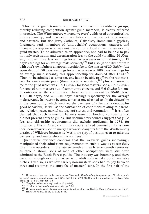This use of guild training requirements to exclude identifiable groups, thereby reducing competition against guild members, is clearly reflected in practice. The Württemberg worsted weavers' guilds used apprenticeship, journeymanship, and mastership regulations to exclude not only women and bastards, but also Jews, Catholics, Calvinists, Roma (male gypsies), foreigners, serfs, members of 'untouchable' occupations, paupers, and increasingly anyone who was not the son of a local citizen or an existing guild master. To be admitted as an apprentice, one had to be able to pay not only registration and deregistration fees to the guild (totalling 26 Kreuzer, just over three days' earnings for a master weaver in normal times, or 17 days' earnings for an average male servant),  $106$  but also (if one did not train with one's own father) an apprenticeship fee to the master of 20 Gulden (the equivalent of 150 days' earnings for a master weaver, 800 days' earnings for an average male servant); this apprenticeship fee doubled after  $1654$ .<sup>107</sup> Then, to be admitted as a master, one had to be able to afford the raw materials for one's masterpiece (three pieces of worsted), $108$  plus a mastership fee to the guild which was 0.5-1 Gulden for local masters' sons, 2.5-6 Gulden for sons of non-masters but of community citizens, and 5-6 Gulden for sons of outsiders to the community. These were equivalent to 20-40 days', 100-240 days', and 200-240 days' earnings respectively for the average male servant. In order to become a master one also had to obtain citizenship in the community, which involved the payment of a fee and a deposit for good behaviour, as well as the satisfaction of conditions relating to parentage, religion, race, marital status, serf status, and reputation.<sup>109</sup> It is often claimed that such admission barriers were not binding constraints and did not prevent entry to guilds. But documentary sources suggest that guild fees and citizenship requirements did exclude applicants: in 1785, for instance, a Black Forest community court refused permission for a nonlocal non-weaver's son to marry a weaver's daughter from the Württemberg district of Wildberg because he 'was in no sort of position even to raise the citizenship and mastership admission fees'. 110

Quantitative evidence confirms that the weavers' guilds increasingly manipulated their admissions requirements in such a way as successfully to exclude outsiders. In the late sixteenth and early seventeenth centuries, as table 5 shows, sons of men of other occupations were still often admitted to the Black Forest guilds. The industry was booming, and there were not enough existing masters with adult sons to take up all available niches. Even so, as we saw earlier, non-masters' sons had to pay between three and six times the entry fee of masters' sons. In the first half of the

<sup>&</sup>lt;sup>106</sup> On weavers' average daily earnings, see Troeltsch, Zeughandlungskompagnie, pp. 221-5; on male servants' average annual wage, see HSAS A573 Bü. 5593 (1631), and the analysis in Ogilvie, Bitter living, pp. 111-14, esp. tab. 3.8.

<sup>&</sup>lt;sup>107</sup> 'Engelsattweberordnung', article 23 (447-9).<br><sup>108</sup> Troeltsch, *Zeughandlungskompagnie*, pp. 78-9.<br><sup>109</sup> On community controls over admissions to citizenship, see Ogilvie, *State corporatism*, pp. 45-57.<br><sup>110</sup> HSAS A5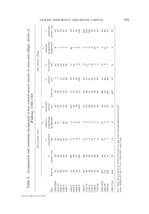|   | condension                                                                                            |                                      |
|---|-------------------------------------------------------------------------------------------------------|--------------------------------------|
|   | I INCORDIO DI POSSIBILITI                                                                             |                                      |
|   | town of and an enough-enough was an increased in the controller of the parto.<br>I IRO WUISLEUTWEUVEI | DC / T-C                             |
|   |                                                                                                       | 0.741011<br>$-220$<br><b>*******</b> |
|   | Prima him<br>tn h                                                                                     |                                      |
|   |                                                                                                       |                                      |
|   | www.nu unu com<br>pur junuiny<br>ł<br>١<br>١<br>ţ<br>١                                                |                                      |
| ı | l<br>١                                                                                                |                                      |

|                                                             |                 |                                  | New masters: town                                                                            |                                                        |                                                 |                 |                                                   | New masters: villages                 |                                                         |                                                  |
|-------------------------------------------------------------|-----------------|----------------------------------|----------------------------------------------------------------------------------------------|--------------------------------------------------------|-------------------------------------------------|-----------------|---------------------------------------------------|---------------------------------------|---------------------------------------------------------|--------------------------------------------------|
| Date                                                        | Total no.       | masters' sons<br>$\mathcal{S}_0$ | $non-masters'$<br>sons<br>$\mathcal{S}_{\mathsf{0}}$                                         | occupational<br>background<br>unknown<br>$\frac{6}{6}$ | community<br>citizens'<br>sons<br>$\frac{6}{6}$ | Total no        | maxers<br>sons<br>$\delta_{\rm V}$                | non-masters'<br>sons<br>$\frac{6}{6}$ | occupationa<br>background<br>unknown<br>$\mathcal{S}_0$ | citizens' sons<br>community<br>$\sqrt[3]{\circ}$ |
| [598-1609]                                                  | 57              |                                  |                                                                                              | $\frac{6}{1}$                                          |                                                 |                 |                                                   |                                       |                                                         |                                                  |
| 1610-19                                                     | 62              | 5535                             | 24252                                                                                        |                                                        | 88 S C                                          | 20525<br>20525  | $\circ$ $\frac{1}{2}$ $\frac{1}{2}$ $\frac{3}{2}$ | 202364                                | ∞∼                                                      | 23458                                            |
| 1620-9                                                      | 54              |                                  |                                                                                              |                                                        |                                                 |                 |                                                   |                                       | $\circ$                                                 |                                                  |
| 1630-9                                                      | 32              |                                  |                                                                                              | $38$                                                   |                                                 |                 |                                                   |                                       |                                                         |                                                  |
| 1640-7                                                      | 32              | $69$                             |                                                                                              | 16                                                     | 84                                              |                 |                                                   |                                       | 4                                                       |                                                  |
|                                                             |                 | 100                              |                                                                                              |                                                        |                                                 | 13              |                                                   | $\circ$                               | 46                                                      |                                                  |
|                                                             | $\overline{50}$ | $\frac{6}{9}$                    |                                                                                              |                                                        |                                                 |                 |                                                   | $\overline{\mathbf{c}}$               |                                                         |                                                  |
|                                                             | 54              |                                  |                                                                                              |                                                        |                                                 |                 |                                                   | $\circ$                               |                                                         |                                                  |
| $1666-9$ $1670-9$ $1680-9$ $1680-9$                         | 16              | 100                              | $\circ$                                                                                      |                                                        | $\frac{5480}{540}$                              | $324$<br>$24$   | 54620                                             |                                       |                                                         | 545820                                           |
| 1700-9<br>1710-19<br>1720-9<br>1730-9<br>1750-60<br>1750-60 | 45              |                                  | 13                                                                                           | $\sim$ $\sim$                                          |                                                 |                 |                                                   |                                       | $\mathcal{C}$                                           |                                                  |
|                                                             | 39              |                                  | $^{\circ}$                                                                                   |                                                        |                                                 |                 |                                                   |                                       | $\circ$                                                 |                                                  |
|                                                             | 44              |                                  | S                                                                                            | $\circ$ 4                                              |                                                 |                 |                                                   |                                       |                                                         |                                                  |
|                                                             | 27<br>27        | 23522                            | $\frac{1}{2}$                                                                                |                                                        | 258228                                          | 881040<br>88104 | 202222                                            | $6\frac{1}{2}$ $\frac{1}{2}$          |                                                         |                                                  |
|                                                             |                 |                                  |                                                                                              | $\overline{ }$                                         |                                                 |                 |                                                   | $\circ$                               | τÙ.                                                     |                                                  |
|                                                             | 46              | 98                               | $\circ$                                                                                      | $\mathcal{L}$                                          |                                                 |                 |                                                   |                                       | $\infty$                                                |                                                  |
| 598-1647                                                    | 247             | $\infty$                         | 25                                                                                           | $\overline{16}$                                        |                                                 | 148             | $\overline{19}$                                   | 76                                    | $\frac{5}{1}$                                           | 95                                               |
| 1666-99                                                     | 131<br>228      | $\overline{5}$                   | 1 U                                                                                          | m                                                      | 855                                             | 82              | $80\,$                                            | $\sim$ $\sim$                         |                                                         | 89                                               |
| 1700-60                                                     |                 |                                  |                                                                                              | N                                                      |                                                 | 199             | 88                                                |                                       | S                                                       |                                                  |
| 1598-1760                                                   | 606             | 78                               | $\overline{4}$                                                                               | $^{\circ}$                                             | $\overline{9}$                                  | 429             | 63                                                | 51                                    | $\circ$                                                 | 93                                               |
| Source: HSAS A573 Bü 777-911                                |                 | $(1598 - 1647, 1666 - 1760)$     | Note: There are no values for 1648-65 because of a gap in the surviving guild account-books. |                                                        |                                                 |                 |                                                   |                                       |                                                         |                                                  |

GUILDS, EFFICIENCY, AND SOCIAL CAPITAL 309

 $\oslash$  Economic History Society 2004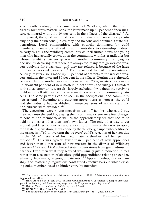seventeenth century, in the small town of Wildberg where there were already numerous masters' sons, the latter made up 60 per cent of new masters, compared with only 19 per cent in the villages of the district.<sup>111</sup> As time passed, the guild instituted new rules restricting masters to apprenticing only their own sons (unless they had no sons and obtained a state dispensation). Local communities, with councils dominated by guild members, increasingly refused to admit outsiders to citizenship: indeed, as early as 1603 the Wildberg community council turned down one young man who had actually grown up in the community with his grandfather but whose hereditary citizenship was in another community, justifying its decision by declaring that 'there are always too many foreign worsted weavers applying for citizenship, and they are refused it because of the large number of worsted weavers'.<sup>112</sup> By the second half of the seventeenth century, masters' sons made up 90 per cent of entrants to the worsted weavers' guild in the town and 80 per cent in the villages. During the eighteenth century, despite another worsted boom in the 1730s, masters' sons made up about 90 per cent of new masters in both town and villages. Outsiders to the local community were also largely excluded: throughout the surviving guild records 85-95 per cent of new masters were sons of community citizens. The same patterns can be seen in the occupational and community background of incoming and outgoing apprentices: as soon as the guild and the industry had established themselves, sons of non-masters and non-citizens were excluded.<sup>113</sup>

The exceptions were young men from well-off families who could buy their way into the guild by paying the discriminatory entrance fees charged to sons of non-members, as well as the apprenticeship fee that had to be paid to a master other than one's own father. The only other way to get around guild restrictions on apprenticeship and mastership was to apply for a state dispensation, as was done by the Wildberg pauper who petitioned the prince in 1769 to overturn the weavers' guild's rejection of her son due to the Macula (stain) of his illegitimate birth—but had her petition refused.<sup>114</sup> This was typical: fewer than 3 per cent of new apprentices and fewer than 1 per cent of new masters in the district of Wildberg between 1598 and 1760 achieved state dispensations from guild admission barriers. Even then what they secured was usually just a reduction in fees rather than a relaxation of absolute guild preconditions relating to gender, ethnicity, legitimacy, religion, or paternity.<sup>115</sup> Apprenticeship, journeymanship, and mastership regulations constituted effective barriers which existing guild members used to hinder entry by outsiders.

 $111$  The figures correct those in Ogilvie, *State corporatism*, p. 172 (fig. 6.10a), where a typesetting error duplicated fig. 6.10b.

 $112$  HSAS A573 Bü 24, 17 Jan. 1603, fo. 23v: 'weyll Immer zue vil ußlendische Knappen umbs Burgerrecht Anhalltten, und Inen solches, wegen der vile Knappen, Abgeschlag. würdt'.

<sup>&</sup>lt;sup>113</sup> Ogilvie, *State corporatism*, pp. 162-9, esp. figs. 6.5-6.8.<br><sup>114</sup> HSAS A573 Bü. 6947, 3 May 1769.<br><sup>115</sup> For quantitative analyses, see Ogilvie, *State corporatism*, pp. 155-79, figs. 6.3-6.10.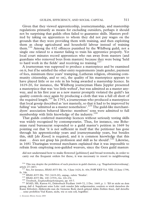Given that they viewed apprenticeship, journeymanship, and mastership regulations primarily as means for excluding outsiders, perhaps it should not be surprising that guilds often failed to guarantee skills. Masters profited by taking on apprentices to whom they did not pay wages on the grounds that they were providing them with training, and then exploiting them as cheap agricultural and household labour instead of training them.<sup>116</sup> Among the 632 offences punished by the Wildberg guild, not a single one related to a master failing to train his apprentice properly. Yet local court minutes record apprentices who ran away from masters (and guardians who removed boys from masters) because they were being 'held to hard work in the fields' and receiving no training. $117$ 

A journeyman was supposed to produce a masterpiece and be examined on it, but if he satisfied the other entry requirements (male gender, payment of fees, minimum three years' tramping, Lutheran religion, obtaining community citizenship, and so on), the quality of his masterpiece appears to have played little or no role in his being awarded a mastership licence. In 1619-20, for instance, the Wildberg journeyman Hans Jeppler presented a masterpiece that was 'too little wefted', but was admitted as a master anyway, and in his first year as a new master promptly violated the guild's lax quality controls once again by producing a cloth that was a full ell short of the required length.<sup>118</sup> In 1793, a journeyman who produced a masterpiece that local gossip described as 'not masterly, so that it had to be improved by fulling' was 'admitted as a master nonetheless'. <sup>119</sup> The guild-like merchantdyers' association behaved likewise: members' sons were admitted to full membership with little knowledge of the industry.<sup>120</sup>

That guilds conferred mastership licences without seriously testing skills was widely recognized by contemporaries. Thus, for instance, one Bohemian rural bureaucrat responded to a guild master's petition in 1669 by pointing out that 'it is not sufficient in itself that the petitioner has gone through his apprenticeship years and journeymanship years, but besides this, skill [die Kunst] is required, and it is common knowledge that this man ... does not grasp his profession and skill as he should'.<sup>121</sup> Likewise, in 1681 Thuringian worsted merchants explained that it was impossible to refrain from employing non-guilded weavers, since the Gera guild masters

did not understand how to make flowered [gebluimter] and broad worsteds; in order to carry out the frequent orders for these, it was necessary to resort to neighbouring

 $116$  This was despite the prohibiton of such practices in guild charters, e.g. 'Engelsattweberordnung', article 23 (447).

 $117$  See, for instance, HSAS A573 Bü. 16, 3 June 1624, fo. 60r; PAW KKP Vol. VIII, 22 June 1798, fo. 94r.<br><sup>118</sup> HSAS A573 Bü. 792 (1619-20), unpag., rubric 'Strafen'.<br><sup>119</sup> HSAS A573 Bü. 100 (1793), fos. 22v-23r.<br><sup>120</sup> Troeltsch, *Zeughandlungskompagnie*, pp. 65-7.<br><sup>121</sup> SOAD, HS, Karton 81, Dekretbuch Frydlant 1669-7

genug, daß d. Supplicant seine Lehr: vndt wander Jahr außgestanden, sondern es wirdt darneben die Kunst Erfordert; Alldieweiln nun die Gemeine Rede durch gehend dahin Ziehlen thuet, daß derselbe ... seine profeßion Vnd Kunst, nicht, wie es sein soll, begriffen'.

 $\odot$  Economic History Society 2004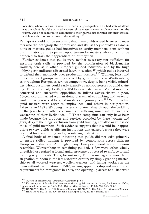localities, where such wares were to be had at a good quality. This bad state of affairs was the sole fault of the worsted weavers, since masters' sons hardly ever went on the tramp, were not required to demonstrate their knowledge through any masterpiece, and hence did not know how to do anything.<sup>122</sup>

Perhaps it should not be surprising that many guilds issued licences to masters who did not 'grasp their profession and skill as they should': as associations of masters, guilds had incentives to certify members' sons without discrimination, and to permit opportunism by masters who could not be bothered to train their apprentices or journeymen.

Further evidence that guilds were neither necessary nor sufficient for ensuring craft skills is provided by the proliferation of black-market workers, here as in other European guilded industries, and by the huge lobbying expenditures (discussed later, in section V) which guilds incurred to defend their monopoly over production licences.<sup>123</sup> Women, Jews, and other excluded groups were perceived by guild masters in Württemberg, as throughout Europe, as serious competitors, despite being visible minorities whom customers could easily identify as non-possessors of guild training. Thus in the early 1750s, the Wildberg worsted weavers' guild mounted concerted and successful opposition to Juliana Schweickhert, a poor, 50-year-old unmarried woman doing black-market combing and weaving, work officially reserved for guild masters and journeymen.<sup>124</sup> Yet individual guild masters were eager to employ her—and others in her position. Likewise, in 1787 a Wildberg master complained that 'through the peddling of the Jews he and other craftsmen are suffering much interference and weakening of their livelihoods'.<sup>125</sup> These complaints can only have been made because the products and services provided by these women and Jews, despite their legal exclusion from guild training, equalled or surpassed those of guild members. Such evidence suggests that it would be inappropriate to view guilds as efficient institutions that existed because they were essential for transmitting and guaranteeing craft skills.

A final body of evidence indicating that guilds did not exist primarily to ensure skilled training is provided by comparisons across different European industries. Although many European wool textile regions resembled Württemberg in remaining guilded, a few were either wholly unguilded or retained a formal guild structure but ceased to enforce formal training requirements. Thus, for instance, Tournai managed to move from stagnation to boom in the late sixteenth century by simply granting mastership to all worsted weavers, woollen weavers, and fulling workers in the town without examination in 1582, waiving apprenticeship and masterpiece requirements for immigrants in 1585, and opening up access to all its textile

<sup>&</sup>lt;sup>122</sup> Quoted in Finkenwirth, *Urkundliche Geschichte*, p. 68.<br><sup>123</sup> For examples of female black-market work and guild controls on it see, for instance, Hafter, 'Underground business', pp. 16-8, 30-2; Ogilvie, *Bitter liv* 

<sup>&</sup>lt;sup>124</sup> HSAS A573 Bü. 904 (1752-3), rubric 'Strafen'; HSAS A573 Bü. 906 (1754-5), rubric 'Strafen'.<br><sup>125</sup> HSAS A573 Bü. 99, fo. 67v, probable date April 1787, no. 197 and no. 198.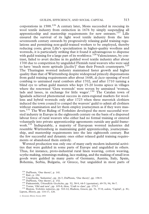corporations in  $1588$ <sup>126</sup> A century later, Mons succeeded in rescuing its wool textile industry from extinction in 1676 by simply suspending all apprenticeship and mastership requirements for new entrants.<sup>127</sup> Lille ensured the survival of its light wool textile industry from the late seventeenth century onwards by progressively relaxing guild training regulations and permitting non-guild-trained workers to be employed, thereby reducing costs; given Lille's specialization in higher-quality woollens and worsteds, it is particularly striking that it found it advantageous to dispense with guild training for a large part of its workforce.<sup>128</sup> Valenciennes, by contrast, failed to avert decline in its guilded wool textile industry after about 1700 due to competition by unguilded Flemish rural weavers who were said to have 'much more aptitude  $[facilite']'$  than their French counterparts.<sup>129</sup> The Thuringian worsted industry maintained faster growth and higher quality than that of Württemberg despite widespread princely dispensations from guild training requirements after about 1648, de facto opening of wool combing to untrained rural combers after 1702, and after 1710 turning a blind eye to urban guild masters who kept 15-20 looms apiece in villages where the renowned 'Gera worsteds' were woven by untrained 'women, lads and lasses, in exchange for little wages'.<sup>130</sup> The Catalan town of Igualada achieved phenomenal success in extra-regional markets for woollens and hybrid worsteds only after 1723 when three maverick clothiers induced the town council to compel the weavers' guild to admit all clothiers without examination and let them employ journeymen as if they were masters.<sup>131</sup> The West Riding of Yorkshire developed the most successful worsted industry in Europe in the eighteenth century on the basis of a dispersed labour force of rural weavers who either had no formal training or entered voluntarily into private apprenticeship agreements outside any guild framework.<sup>132</sup> Indisputably, a majority of European worsted industries did resemble Württemberg in maintaining guild apprenticeship, journeymanship, and mastership requirements into the late eighteenth century. But the few successful and dynamic ones either relaxed guild training requirements or abandoned them entirely.

Worsted production was only one of many early modern industrial activities that were guilded in some parts of Europe and unguilded in others. Thus, for instance, proto-industrial rural linen weaving, cotton weaving, scythe making, trimmings making, lace making, and the making of small iron goods were guilded in many parts of Germany, Austria, Italy, Spain, Bohemia, Serbia, Bulgaria, or Greece, but unguilded in most parts of

C Economic History Society 2004

<sup>&</sup>lt;sup>126</sup> DuPlessis, 'One theory', p. 141.<br><sup>127</sup> Ibid., p. 150.<br><sup>128</sup> Craeybeckx, 'Industries', pp. 26-7; DuPlessis, 'One theory', pp. 158-9.<br><sup>129</sup> DuPlessis, 'One theory', p. 152.<br><sup>130</sup> Finkenwirth, *Urkundliche Geschichte*, Lipson, History, pp. 116-17, 126.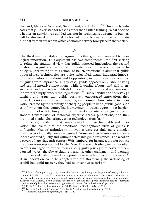#### 314 SHEILAGH OGILVIE

England, Flanders, Scotland, Switzerland, and Ireland.133 This clearly indicates that guilds existed for reasons other than skilled training. What decided whether an activity was guilded was not its technical requirements but—as will be discussed in the final section of this article—the social and institutional framework within which economic activity took place in that society.

#### IV

The third main rehabilitation argument is that guilds encouraged technological innovation. This argument has two components—the first seeking to refute the traditional view that guilds opposed innovation, the second to show that guilds actively solved imperfections in markets for new technologies. According to this school of belief, traditional claims that guilds opposed new technologies are quite unjustified: many industrial innovations were adopted without guild opposition; many innovations opposed by guilds were impractical in any case; guilds opposed only labour-saving and capital-intensive innovations, while favouring labour- and skill-intensive ones; and even when guilds did oppose innovations it did no harm since innovators simply evaded the regulations.<sup>134</sup> But rehabilitation theorists go further, and argue that guilds positively encouraged innovation: they offered monopoly rents to innovators, overcoming disincentives to innovation created by the difficulty of charging people to use a public good such as information; they compelled journeymen to travel, overcoming barriers to diffusion of new techniques; they required apprenticeships, guaranteeing smooth transmission of technical expertise across generations; and they promoted spatial clustering, easing technology transfer.<sup>135</sup>

Let us begin with the first component of the case for guilds and innovation—the claim that the traditional technophobic view of guilds is unfounded. Guilds' attitudes to innovation were certainly more complex than has traditionally been recognized. Some industrial innovations were indeed adopted quietly and without detectable guild resistance. The woollen weavers of late-sixteenth-century Württemberg, for instance, did not oppose the innovation represented by the New Draperies. Rather, master woollen weavers managed to extend their existing guild privileges to cover the new worsted wares, thereby excluding peasants, other craftsmen, and women; this dispensed with any need to oppose the new techniques and products.<sup>136</sup> If an innovation could be adopted without threatening the well-being of established guild masters, they had no incentive to resist it.

<sup>&</sup>lt;sup>133</sup> Pfister, 'Craft guilds', p. 21, writes that 'sectors producing simple goods of low quality that required little skill ... tended to be without guilds', but on the same page mentions activities, such as the low-skilled cotton proto-industry, which were guilded in some regions (e.g. Italy) and unguilded in others (e.g. Zürich). For a detailed discussion of guilded rural proto-industries and the literature<br>on them, see Ogilvie, *State corporatism*, pp. 428-31; *eadem*, 'Social institutions', pp. 30-3.

<sup>&</sup>lt;sup>134</sup> Reith, 'Technische Innovation', pp. 38-41; Epstein, 'Craft guilds', p. 695.<br><sup>135</sup> Epstein, 'Craft guilds', pp. 693-705; Reith, 'Technische Innovation', pp. 43-9.<br><sup>136</sup> Troeltsch, *Zeughandlungskompagnie*, pp. 11-13.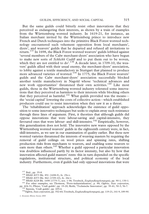But the same guilds could bitterly resist other innovations that they perceived as endangering their interests, as shown by a train of examples from the Württemberg worsted industry. In 1619-21, for instance, an Italian merchant invited by the Württemberg prince to introduce new French and Dutch techniques into the primitive Black Forest worsted technology encountered such vehement opposition from local merchants', dyers', and weavers' guilds that he departed and refused all invitations to return.<sup>137</sup> In 1698, the Black Forest worsted weavers' guilds lobbied against 'several members of the Calw merchant-dyers' association who have begun to make new sorts of *Schlickh Cadiß* and to put them out to be woven, which they are not entitled to do'.<sup>138</sup> A decade later, in 1709-10, the weavers' guilds allied with their usual enemy, the merchant-dyers' association, to lobby against a textile manufactory in Stuttgart that planned to produce more advanced varieties of worsted.<sup>139</sup> In 1775, the Black Forest weavers' guilds and the Calw merchant-dyers' association successfully blocked another textile manufactory in Nagold whose 'technical advances and new work opportunities' threatened their own activities.<sup>140</sup> Like most guilds, those in the Württemberg worsted industry tolerated some innovations that they perceived as harmless to their interests while blocking others that they perceived as harmful.<sup>141</sup> What guilds provided was the means the 'social capital' lowering the costs of collective action—which established producers could use to resist innovation when they saw it as a threat.

The 'rehabilitation' approach acknowledges the existence of guild opposition to some innovative techniques but seeks to explain away such resistance through three lines of argument. First, it theorizes that although guilds did oppose innovations that were labour-saving and capital-intensive, they favoured ones that were labour- and skill-intensive.<sup>142</sup> Empirically, however, this generalization does not hold. The innovative new wares opposed by the Württemberg worsted weavers' guilds in the eighteenth century were, in fact, skill-intensive, as we saw in our examination of quality earlier. But these new worsted varieties threatened the interests of weaving masters by requiring the removal of guild ceilings on wool prices and spinning rates, shifting production risks from merchants to weavers, and enabling some weavers to earn more than others.<sup>143</sup> Whether a guild opposed a particular innovation was doubtless influenced partly by its factor intensity, but also by how that innovation affected guild masters' rents: this in turn depended on the specific regulations, institutional structure, and political economy of the local industry. Furthermore, even if guilds had only opposed innovations that were

<sup>&</sup>lt;sup>137</sup> Ibid., pp. 35-8.<br><sup>138</sup> HSAS A573 Bü. 851 (1698-9), fo. 25r-v.<br><sup>139</sup> HSAS A573 Bü. 862 (1709-10), fo. 26r-v.<br><sup>140</sup> HSAS A228 Bü. 1698 (1775-7), nos. 1-58; Troeltsch, *Zeughandlungskompagnie*, pp. 90-1, 130-1.<br><sup>141</sup> F

<sup>&</sup>lt;sup>142</sup> Epstein, 'Craft guilds<sup>7</sup>, pp. 695-6.<br><sup>143</sup>Ogilvie, State corporatism, pp. 352-60; Troeltsch, Zeughandlungskompagnie, pp. 119-21, 161-9, 189-90.

 $C$  Economic History Society 2004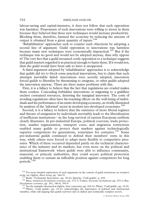labour-saving and capital-intensive, it does not follow that such opposition was harmless. Proponents of such innovations were willing to invest in them because they believed that these new techniques would increase productivity. Blocking them, therefore, harmed the economy by reducing the amount of output it obtained from a given quantity of inputs.<sup>144</sup>

'Rehabilitation' approaches seek to counter such objections by adopting a second line of argument. Guild opposition to innovations was harmless because many new techniques were economically impractical.<sup>145</sup> But if the technique was no good and would not be adopted anyway, then why oppose it? The very fact that a guild mounted costly opposition to a technique suggests that guild masters regarded it as practical enough to harm them. If it would not, then the guild would have been safe to leave it unopposed.

A third argument adopted by 'rehabilitation' approaches is to acknowledge that guilds did try to block some practical innovations, but to claim that such attempts inevitably failed: innovations were secretly adopted, innovators forced guilds to liberalize by threatening to emigrate, or other guilds adopted the innovation anyway. There are three major problems with this.

First, it is a fallacy to believe that the fact that regulations are evaded makes them costless. Concealing forbidden innovations or migrating to a guildless enclave consumed resources, deterring the marginal innovator. The costs of avoiding regulations often have far-reaching effects on the well-being of individuals and the performance of an entire developing economy, as vividly illustrated by analyses of the 'informal' sector in modern less-developed economies.<sup>146</sup>

Second, it is a fallacy to believe that the existence of more liberal regimes and threats of emigration by individuals inevitably leads to the liberalization of inefficient institutions—as the long survival of eastern European serfdom clearly illustrates. In pre-industrial Europe, political coercion, trade protection, market segmentation, transport costs, and migration restrictions enabled many guilds to protect their markets against technologically superior competitors for generations, sometimes for centuries.<sup>147</sup> Some pre-industrial guilds continued to defend their members' rents in this way, while others were forced to adapt more flexibly to competitive pressures. Which of these occurred depended partly on the technical characteristics of the industry and its markets, but even more on the political and institutional framework: where guilds were able to influence community, manorial, or princely authorities, they could secure political protection enabling them to sustain an inflexible position against competitors for long periods.<sup>148</sup>

<sup>&</sup>lt;sup>144</sup> For more detailed exploration of such arguments in the context of guild restrictions on women's work, see Ogilvie, *Bitter living*, pp. 346-51.

<sup>&</sup>lt;sup>145</sup> Reith, 'Technische Innovation', pp. 38-41; Epstein, 'Craft guilds', p. 695.<br><sup>146</sup> Basu, *Analytical development economics*, pp. 172-3; Todaro, *Economic development*, pp. 270-1; Ray,<br>*Development economics*, pp. 261,

<sup>&</sup>lt;sup>147</sup> See the examples discussed in Ogilvie, *State corporatism*, pp. 424-31; Pfister, 'Craft guilds', pp. 19-20.<br><sup>148</sup> Pfister, 'Craft guilds', pp. 19-23, acknowledges the importance of political and institutional variables, while still arguing that guilds survived only in skilled and technically complex sectors.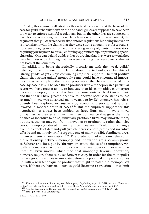Finally, this argument illustrates a theoretical incoherence at the heart of the case for guild 'rehabilitation': on the one hand, guilds are supposed to have been too weak to enforce harmful regulations, but on the other they are supposed to have been strong enough to enforce beneficial ones. In the present context, the argument that guilds were too weak to enforce regulations hindering innovation is inconsistent with the claims that they were strong enough to enforce regulations encouraging innovation, e.g. by offering monopoly rents to innovators, requiring journeymen to travel, enforcing apprenticeship, or promoting spatial clustering. One can defend guilds either by arguing that they were so weak they were harmless or by claiming that they were so strong they were beneficial—but not both at the same time.

In addition to being theoretically inconsistent with the 'weak guilds' defence, none of these four claims about the technological benefits of 'strong guilds' as yet enjoys convincing empirical support. The first positive claim, that strong guilds' monopoly rents could have encouraged innovators, is as yet simply a theoretical proposition that has to be tested on a case-by-case basis. The idea that a producer with a monopoly in a particular sector will have greater ability to innovate than his competitive counterpart because monopoly profits relax funding constraints on R&D investment, and that he will have greater incentive to innovate because he stands to lose so much more, was advanced many years ago by Schumpeter, has subsequently been explored exhaustively by economic theorists, and is often invoked in modern antitrust cases.<sup>149</sup> But the empirical support for this hypothesis has always been ambiguous: large firms may innovate more, but it may be their size rather than their dominance that gives them the finance or incentive to do so; unusually profitable firms may innovate more, but the causation may run from innovation to profitability rather than vice versa; monopoly-induced financing incentives are difficult to disentangle from the effects of demand-pull (which increases both profits and inventive effort); and monopoly profits are only one of many possible funding sources for investments in innovation.<sup>150</sup> The predictions of economic theory on the relationship between monopoly and innovation are also ambiguous: as Scherer and Ross put it, 'through an astute choice of assumptions, virtually any market structure can be shown to have superior innovative qualities.<sup>,151</sup> Even models which find that monopoly favours innovation, however, require there to be *no barriers to entry* in order for the monopolist to have good incentives to innovate before any potential competitor comes up with a new technique or product that might threaten the monopolist's rents. If there are barriers—such as guild licensing restructions—that limit

C Economic History Society 2004

<sup>&</sup>lt;sup>149</sup> From a voluminous literature, see Schumpter, *Capitalism*, esp. ch. VIII; Arrow, 'Economic welfare'; and the studies surveyed in Scherer and Ross, *Industrial market structure*, pp. 630-51.

<sup>&</sup>lt;sup>150</sup> See the discussion in Scherer and Ross, *Industrial market structure*, pp. 630-1, 644-51.<br><sup>151</sup> *Ibid.*, pp. 630, 642 (quotation).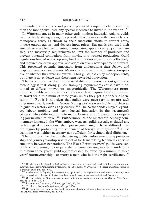the number of producers and prevent potential competitors from entering, then the monopolist loses any special incentive to invest in innovation.<sup>152</sup>

In Württemberg, as in many other early modern industrial regions, guilds were certainly strong enough to provide their members with monopoly and monopsony rents, as shown by their successful efforts to restrict entry, impose output quotas, and depress input prices. But guilds also used their strength to erect barriers to entry, manipulating apprenticeship, journeymanship, and mastership requirements to limit the number of producers and prevent potential competitors from moving into worsted production. Guild regulations limited workshop size, fixed output quotas, set prices collectively, and required collective approval and adoption of any new equipment or wares. This prevented potential innovators from undercutting their fellows and reaping a greater share of rents. Monopoly rents went to all masters, irrespective of whether they were innovative. Thus guilds did enjoy monopoly rents, but there is no evidence that these rents rewarded innovation.

The second positive claim of the rehabilitation theorists about guilds and technology is that strong guilds' tramping requirements could have functioned to diffuse innovations geographically. The Württemberg protoindustrial guilds were certainly strong enough to require local journeymen to travel for a minimum of three years unless they got a princely dispensation.<sup>153</sup> But it is not clear that guilds were necessary to ensure such migration in early modern Europe. Young workers were highly mobile even in guildless sectors such as agriculture.<sup>154</sup> The Netherlands enjoyed legendary labour mobility and technological innovation in the seventeenth century, while differing from Germany, France, and England in not requiring journeymen to travel.<sup>155</sup> Furthermore, as one nineteenth-century commentator lamented, the Württemberg weavers' guilds actually excluded any technological innovations that journeymen might have diffused into the region by prohibiting the settlement of foreign journeymen.<sup>156</sup> Guild tramping was neither necessary nor sufficient for technological diffusion.

The third positive claim is that strong guilds' enforcement of apprenticeship and journeymanship was essential for transmitting technical expertise smoothly between generations. The Black Forest weavers' guilds were certainly strong enough to require that anyone weaving worsteds undergo a minimum three years' guild apprenticeship followed by a minimum three years' journeymanship—or marry a man who had the right certificates.<sup>157</sup>

<sup>&</sup>lt;sup>152</sup> On the key role played by lack of barriers to entry in theoretical models linking monopoly and innovation, see Etro, 'Innovation by leaders', pp. 281-3, 287-9, 298, 300-1; Scherer and Ross, Industrial

market structure, pp. 635, 637.<br><sup>153</sup> As discussed in Ogilvie, State corporatism, pp. 139-51, the legal minimum duration of journeyman-<br>ship changed with changes in legislation, but ranged between two-and-a-half and five y

<sup>&</sup>lt;sup>154</sup> On the mobility of Württemberg farm servants and agricultural labourers, see Ogilvie, *Bitter living*, esp. p. 114-15, 282-6.

<sup>&</sup>lt;sup>155</sup> Lourens and Lucassen, 'Gilden', pp. 73-5, 77, 79.<br><sup>156</sup> Troeltsch, *Zeughandlungskompagnie*, pp. 165-6.<br><sup>157</sup> On changes over time in the legal minimum duration of apprenticeship and journeymanship, see Ogilvie, State corporatism, pp. 139-51.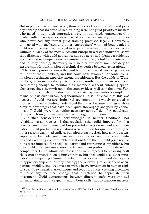But in practice, as shown earlier, those aspects of apprenticeship and journeymanship that involved skilled training were not guild priorities: masters who failed to train their apprentices were not punished, journeymen who made faulty masterpieces were passed as masters anyway, and widows who never had any formal guild training practised legally. Conversely, unmarried women, Jews, and other 'encroachers' who had been denied a guild training somehow managed to acquire the relevant technical expertise without it. Many of the most successful European worsted industries, as we saw, dispensed with guild apprenticeships or never had them, yet evidently ensured that techniques were transmitted effectively. Guild apprenticeship and journeymanship, therefore, were neither sufficient nor necessary to ensure smooth transmission of technical expertise between generations.

The fourth positive claim is that guilds enforced spatial clustering in order to monitor their members, and this could have favoured horizontal transmission of technical expertise among practitioners. But the guilds in Württemberg, as in many other parts of central, southern, and eastern europe, were strong enough to monitor their members without enforcing spatial clustering, since their writ ran in the countryside as well as in the town. Furthermore, even where industries did cluster spatially—for example, in towns or particular urban neighbourhoods—it is not clear that this was because of guild pressure. Industrial agglomeration is widely observed in most economies, including modern guildless ones, because it brings a whole array of advantages that have been quite thoroughly analysed by economists.<sup>158</sup> Guilds were thus neither necessary nor sufficient for spatial clustering which might have favoured technology transmission.

A further consideration—acknowledged in neither traditional nor rehabilitation approaches—is that regulations that guilds imposed for other reasons could have unintended but powerful effects on technological innovation. Guild production regulations were imposed for quality control (and other reasons examined earlier), but stipulating precisely how a product was supposed to be made could deter innovation by ossifying production methods and excluding even desirable deviations from them. Guild price regulations were imposed for social solidarity (and restricting competition), but they could also deter innovators by denying them profits from underselling competitors. Guild admissions restrictions were imposed for ensuring craft skills (not to mention excluding entrants), but they could also deter innovation by compelling a limited number of practitioners to spend many years in apprenticeship and journeymanship; the outlawing of subsequent occupational mobility endowed masters with a heavy investment in human capital specific to a particular technique and set of products, creating incentives to resist any technical change that threatened to depreciate their investment. Guild demarcations between different crafts were imposed for maintaining product quality and labour skills (not to mention masters'

<sup>&</sup>lt;sup>158</sup> See, for instance, Marshall, Principles, pp. 267-77; Fujita and Thisse, 'Agglomeration', pp. 339-41.

 $\oslash$  Economic History Society 2004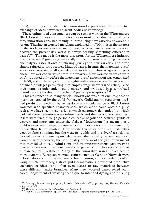rents), but they could also deter innovation by preventing the productive exchange of ideas between adjacent bodies of knowledge.

These unintended consequences can be seen at work in the Württemberg Black Forest. In worsted production, as in most pre-industrial textile sectors, innovation consisted mainly in introducing new varieties of wares.<sup>159</sup> As one Thuringian worsted merchant explained in 1700, 'it is in the interest of the trade to introduce as many varieties of worsteds here as possible, because the present-day world is always seeking something different in wares'.<sup>160</sup> This made it the more disastrous for the Württemberg industry that its weavers' guilds systematically lobbied against extending the merchant-dyers' association's purchasing privilege to new varieties, and often simply refused to produce new kinds of wares. In turn, the merchant-dyers' association repeatedly allowed decades to elapse before it agreed to purchase new worsted varieties from the weavers. New worsted varieties were swiftly adopted only before the merchant-dyers' association was established in 1650, and at the very end of the eighteenth century when the association obtained privileges permitting it to employ wage weavers who relinquished their status as independent guild masters and produced in a centralized manufactory according to merchants' precise prescriptions.<sup>161</sup>

This resistance to so many crucial innovations was a rational response to incentives created by the guild framework. Guild quality regulations ossified production methods by laying down a particular range of Black Forest worsteds with specified characteristics, which alone could obtain a guild seal; as we have seen, new varieties which customers demanded but which violated these definitions were refused seals and their producers penalized. Prices were fixed through periodic collective negotiation between guilds of weavers and merchants under the Calwer Moderation: this meant that a guild weaver who devised a cost-reducing innovation could not benefit by underselling fellow masters. New worsted varieties often required better wool or finer spinning, but the weavers' guilds and the dyers' association capped prices of these inputs, depressing their quality; when new cloth varieties were produced, the poor quality of the wool and yarn often meant that they failed to sell. Admissions and training restrictions gave weaving masters incentives to resist technical changes which might depreciate their human capital investment. Many of the innovative wares introduced in more dynamic European worsted centres such as Gera or Norwich were hybrid fabrics with an admixture of linen, cotton, silk, or carded woollen yarn; but Württemberg's strict guild demarcations prevented productive exchange of ideas (and often even access to raw materials) between these different textile branches. Many new worsted wares relied on a careful adjustment of weaving technique to intended dyeing and finishing

<sup>&</sup>lt;sup>159</sup> See, e.g., Munro, 'Origin', p. 86; Priestley, 'Norwich stuffs', pp. 278, 281; Heaton, *Yorkshire* industries, p. 322.<br><sup>160</sup> Quoted in Finkenwirth, *Urkundliche Geschichte*, p. 61.<br><sup>161</sup> Ogilvie, *State corporatism*, pp. 359-60; Troeltsch, *Zeughandlungskompagnie*, pp. 119, 161-9.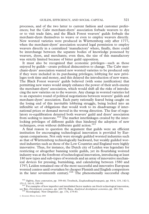processes, and of the two latter to current fashion and customer preferences; but the Calw merchant-dyers' association forbade weavers to dye or to visit trade fairs, and the Black Forest weavers' guilds forbade the merchant-dyers themselves to weave or even to employ weavers directly. New worsted varieties were produced in Württemberg only after 1777, when the merchant-dyers' association secured legal permission to employ weavers directly in a centralized 'manufactory' where, finally, there could be interchange between the separate bodies of knowledge possessed by weavers, dyers, and merchants; even then, the size of this manufactory was strictly limited because of bitter guild opposition.

It must also be recognized that economic privileges—such as those enjoyed by guilds—create political disincentives to change. The Calw merchant-dyers' association wanted new worsted varieties to be produced only if they were included in its purchasing privileges; lobbying for new privileges took time and money, and this delayed the introduction of new wares. The Black Forest weavers' guilds believed (with some justification) that permitting new wares would simply enhance the power of their arch-enemy the merchant-dyers' association, which would shift all the risks of introducing the new varieties on to the weavers. Any change in worsted varieties led to an expensive round of political negotiations between weavers' guilds and merchant-dyers' association. Each party rationally feared being caught on the losing end of this inevitable lobbying struggle, being locked into an inflexible set of obligations that would work to its disadvantage if international prices or demand moved in the wrong direction. The fear of regulatory re-equilibration deterred both weavers' guild and dyers' association from seeking to innovate.<sup>162</sup> The market interlinkages created by the interlocking privileges of different guilds thus hindered the adoption of new techniques, even without deliberate guild action.<sup>163</sup>

A final reason to question the argument that guilds were an efficient institution for encouraging technological innovation is provided by European comparisons. Not only were strongly guilded worsted industries such as that of Württemberg technologically backward, but weakly guilded worsted industries such as those of the Low Countries and England were highly innovative. Thus, for instance, the Dutch city of Leiden was legendary for restricting or altogether banning textile guilds, yet its flourishing worsted industry was at the forefront of technological innovation, introducing at least 180 new types and sub-types of worsteds and an array of innovative mechanical devices for pressing, burnishing, and calendering between 1580 and 1797; Leiden remained one of the most successful and innovative European worsted centres until overtaken by cheaper Flemish and English competitors in the later seventeenth century.<sup>164</sup> The phenomenally successful cheap

<sup>&</sup>lt;sup>162</sup> Ogilvie, *State corporatism*, pp. 359-60; Troeltsch, Zeughandlungskompagnie, pp. 84-6, 119, 142-3, 151-2, 161-9, 189-90.

<sup>&</sup>lt;sup>163</sup> For examples of how imperfect and interlinked factor markets can block technological innovation, see Ray, *Development economics*, pp. 420-78; Basu, *Analytical development economics*, pp. 281-316.<br><sup>164</sup> Noordegraaf, 'New Draperies', pp. 176, 179-83.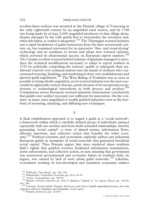woollen-linen molleton was invented in the Flemish village of Tourcoing in the early eighteenth century by an unguilded rural weaver, and by 1748 was being made by at least 2,000 unguilded producers in that village alone, despite attempts by the Lille guilds first to monopolize the invention and, when this failed, to outlaw it altogether.<sup>165</sup> The Thuringian worsted industry saw a rapid breakdown of guild restrictions from the later seventeenth century on, but remained renowned for its innovative 'fine- and woad-dyeing' technology and its readiness to invent and adopt new worsted varieties, which powered its phenomenal success on European export markets.<sup>166</sup> The Catalan woollen-worsted hybrid industry of Igualada managed to introduce the technical modifications necessary to adapt to export markets in 1723 by politically compelling the weavers' guilds to relinquish their traditional controls over technical matters into the hands of clothiers who concentrated weaving, finishing, and marketing in their own establishments and ignored guild regulations.<sup>167</sup> The West Riding of Yorkshire was as close as possible to being wholly unguilded, yet its worsted industry was the most successful in eighteenth-century Europe, partly because of its exceptional receptiveness to technological innovations in both process and product.<sup>168</sup> Comparisons across European worsted industries demonstrate conclusively that guilds were neither necessary nor sufficient for innovation. On the contrary: in many cases unguilded or weakly guilded industries were at the forefront of inventing, adopting, and diffusing new techniques.

#### V

A final rehabilitation approach is to regard a guild as a 'social network', a framework within which a carefully defined group of individuals transact repeatedly with one another and form multi-stranded relationships, thereby generating 'social capital'—a store of shared norms, information flows, effective sanctions, and collective action that benefits the wider economy.<sup>169</sup> Political scientists and economists explicitly adduce pre-industrial European guilds as exemplars of social networks that generated beneficial social capital. Thus Putnam argues that since medieval times northern Italy's tightly knit guilded societies facilitated information transmission, norm enforcement, and collective action, in turn ensuring that government was monitored; governmental and economic failure in southern Italy, he argues, was caused by lack of such urban guild networks.170 Likewise, economists working on less-developed and transition economies adduce

<sup>&</sup>lt;sup>165</sup> DuPlessis, 'One theory', pp. 148, 158.<br><sup>166</sup> Finkenwirth, *Urkundliche Geschichte*, pp. 65-6, 69-70.<br><sup>167</sup> Torras, 'Corporations', pp. 749-50.<br><sup>168</sup> Heaton, *Yorkshire industries*, pp. 264-71; Hudson, 'Capital', p.

<sup>&</sup>lt;sup>169</sup> Coleman, 'Social capital'; Putnam, *Democracy*; and, from a rapidly expanding literature, the essay collection edited by Dasgupta and Serageldin, Social capital.<br><sup>170</sup> Putnam, Democracy, pp. 163-85.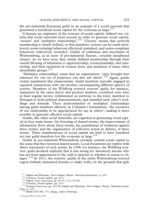the pre-industrial European guild as an example of a social network that generated a beneficial social capital for the economy at large.<sup>171</sup>

Coleman, an originator of the concept of social capital, defined two criteria that social networks must possess in order to generate social capital: 'closure' and 'multiplex relationships'. <sup>172</sup> 'Closure' means that network membership is clearly defined, so that members' actions can be easily monitored, norm-violating behaviour effectively punished, and norm-compliant behaviour collectively rewarded. Guilds of craftsmen and merchants in Württemberg, as in most of pre-industrial Europe, certainly manifested closure. As we have seen, they clearly defined membership through their careful filtering of admission to apprenticeship, journeymanship, and mastership, and their exclusion of women, Jews, and members of many other identifiable groups.<sup>173</sup>

'Multiplex relationships' mean that an organization, 'once brought into existence for one set of purposes, can also aid others'.<sup>174</sup> Again, guilds clearly manifested this characteristic. Guild members typically engaged in repeated transactions with one another, encompassing different spheres of activity. Members of the Wildberg worsted weavers' guild, for instance, transacted in the same factor and product markets, socialized over wine at their regular tavern, collaborated on petitions to the ruler, marched to Stuttgart to hold political demonstrations, and attended each other's weddings and funerals. These multi-stranded or 'multiplex' relationships among guild members allowed, in Coleman's formulation, 'the resources of one relationship to be appropriated for use in others', making it more possible to generate effective social capital.

Guilds, like other social networks, are regarded as generating social capital in four main forms: the fostering of shared norms; the improvement of information flows about these norms; the punishment of violations against these norms; and the organization of collective action in defence of these norms. These manifestations of social capital are held to have benefited not just guild members but the economy at large.<sup>175</sup>

Guilds in pre-industrial Württemberg certainly created social capital in the sense that they fostered shared norms. Local documents are replete with direct statements of such norms. In 1598, for instance, the Wildberg weavers' guild declared explicitly that it was wrong for 'absolutely anyone who has not been apprenticed to the craft to practise it, whether in towns or villages'.<sup>176</sup> In 1611, the weavers' guilds of the entire Württemberg worsted region forbade unmarried females to make wefts, on the grounds that girls

<sup>&</sup>lt;sup>171</sup> Stiglitz and Ellerman, 'New bridges'; Raiser, 'Informal institutions', p. 231.<br><sup>172</sup> Coleman, 'Social capital', pp. 23-7.<br><sup>173</sup> Ogilvie, *State corporatism*, pp. 45-57, 72-9, 127-80.<br><sup>174</sup> Coleman, 'Social capital', tions', p. 231.<br><sup>176</sup> HSAS A573 Bü. 777, unpag., rubric 'Zöhrung'.

 $\oslash$  Economic History Society 2004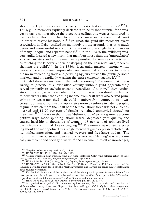should 'be kept to other and necessary domestic tasks and business'.<sup>177</sup> In 1623, guild members explicitly declared it to be 'dishonourable' for a weaver to pay a spinner above the piece-rate ceiling; one weaver rumoured to have violated this norm had to sue his accusers in the communal court 'in order to rescue his honour'.<sup>178</sup> In 1650, the guild-like merchant-dyers' association in Calw justified its monopoly on the grounds that 'it is much better and more useful to conduct trade out of one single hand than out of many unequal and separate hands'. <sup>179</sup> In the 1720s, the Wildberg weavers' guild fostered a new norm that members must shun the 'untouchable' knacker: masters and journeymen were punished for remote contacts such as touching the knacker's horse or sleeping on the knacker's lawn, 'thereby shaming the guild'.<sup>180</sup> In the 1780s, local guild masters—among whom weavers were prominent—prevailed on communal authorities to restate the norm 'forbidding trade and peddling by Jews outside the public periodic markets, and ... explicitly warning the entire citizenry against it'.<sup>181</sup>

But did these norms benefit the wider economy? The norm that it was wrong to practise this low-skilled activity without guild apprenticeship served primarily to exclude entrants regardless of how well they 'understood' the craft, as we saw earlier. The norm that women should be limited to housework rather than earning income from craft work also served primarily to protect established male guild members from competition; it was certainly an inappropriate and oppressive norm to enforce in a demographic regime in which more than half of the female labour force was not currently married and 15-20 per cent of females remained unmarried throughout their lives.<sup>182</sup> The norm that it was 'dishonourable' to pay spinners a competitive wage made spinning labour scarce, depressed yarn quality, and caused hardship to thousands of women—18 per cent of spinners lived partly from communal dole or begging.<sup>183</sup> The norm that worsted exporting should be monopolized by a single merchant guild depressed cloth quality, stifled innovation, and harmed weavers and free-lance traders. The norm that intercourse with Jews and knackers was 'defiling' was economically inefficient and socially divisive.<sup>184</sup> As Coleman himself acknowledges,

<sup>177</sup> 'Engelsattweberordnung', article 20, p. 446.<br><sup>178</sup> HSAS A573 Bü. 15, fo. 618r, 20 Feb. 1623.<br><sup>179</sup> 'Rezess Zwischen denn Ferbern vnnd der Knapschafft zue Calw vnnd selbiger refier' (2 Sept. 1650), reprinted in Troel

<sup>180</sup> HSAS A573 Bü. 876 (1723-4), fo. 10v; Ogilvie, *State corporatism*, pp. 333-9.<br><sup>181</sup> HSAS A573 Bü. 99, fo. 67v, probable date April 1787, no. 197 and no. 198: 'den Handel und das Hausiren der Juden auser denen offentl.: Märkten verbietet, und ... wird die ganze burgerschafft davor

nach drüklich verwarnet'.<br><sup>182</sup> For detailed discussions of the implications of this demographic pattern for female labour force participation and the role played in it by guilds, see Ogilvie, *Bitter living*, pp. 40-54, 323; eadem, 'How does social capital affect women?'; eadem, 'Women and labour markets'.

<sup>183</sup> HSAS A573 Bü. 6967 (1736); Ogilvie, *Bitter living*, pp. 214-15, 278-9.<br><sup>184</sup> On pre-industrial guilds' discrimination against women, Jews, bastards, and members of 'dishonourable' occupations, see Roper, Holy household, pp. 36-55; Ogilvie, State corporatism, pp. 336-8; Stuart, Defiled trades, pp. 189-221; Ogilvie, Bitter living, pp. 130-4, 162-70, 259-67, 300-8, 329-31, 340-4.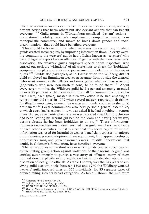'effective norms in an area can reduce innovativeness in an area, not only deviant actions that harm others but also deviant actions that can benefit everyone'.<sup>185</sup> Guild norms in Württemberg penalized 'deviant' actionsoccupational mobility, women's employment, competitive wages, nonmonopolistic commerce, and moves to break down gender and racial discrimination—that could have benefited everyone.

This should be borne in mind when we assess the second way in which guilds created social capital, by improving information flows. In every weaving community the weavers' guilds had officials known as 'seveners' who were obliged to report known offences. Together with the merchant-dyers' association, the weavers' guilds employed special 'loom inspectors' who carried out periodic 'visitations' of all workshops to check for 'forbidden' equipment, surplus apprentices or journeymen, or violations of the output quota.<sup>186</sup> Guilds also paid spies, as in 1707-8 when the Wildberg district guild employed an Emmingen weaver (a stranger from outside the district) 'who went around in the villages and investigated whether there were any [apprentices who were non-masters' sons] to be found there'.<sup>187</sup> About every seven months, the Wildberg guild held a general assembly attended by over 95 per cent of the membership from all 10 communities in the district. Here, each (male) master in turn was asked if he had anything to report; many did so, as in 1752 when several masters reported their fellows for illegally employing women, 'to weave and comb, counter to the guild ordinance<sup>5</sup>.<sup>188</sup> Local communities also held periodic general assemblies, at which each (male) citizen in turn was asked if he had anything to report; many did so, as in 1669 when one weaver reported that Hannß Schrotter had been 'setting his servant girl behind the loom and having her weave', despite already having been forbidden to do so.<sup>189</sup> These informationtransmission mechanisms indeed ensured that guild members were aware of each other's activities. But it is clear that this social capital of mutual information was used for harmful as well as beneficial purposes: to enforce output quotas, prevent adoption of new equipment, limit apprenticeship by non-masters' sons, and prevent women's work—to stifle 'innovations' that could, in Coleman's formulation, have benefited everyone.

The same applies to the third way in which guilds created social capital, by facilitating group action against violations of their norms. A guild was entitled autonomously to punish a vast array of offences, many of them not laid down explicitly in any legislation but simply decided upon at the discretion of local guild officials. As table 1 shows, over the 143 years of surviving guild account books between 1598 and 1760 the Wildberg worsted weavers' guild imposed fines on 653 individuals, for 85 separate types of offence falling into six broad categories. As table 2 shows, the minimum

<sup>&</sup>lt;sup>185</sup> Coleman, 'Social capital', p. 23.<br><sup>186</sup> Ogilvie, *State corporatism*, pp. 193-7.<br><sup>187</sup> HSAS A573 Bü 860 (1707-8), fo. 29v.<br><sup>187</sup> HSAS A573 Bü. 800 (1707-8), fo. 29v.<br><sup>188</sup> Ogilvie, *State corporatism*, pp. 316-21; H

 $\oslash$  Economic History Society 2004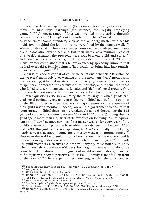fine was two days' average earnings (for example, for quality offences), the maximum nine days' earnings (for instance, for illegally employing women).<sup>190</sup> A special range of fines was invented in the early eighteenth century to penalize 'defiling' contacts with 'untouchable' social groups such as knackers.191 Some offenders, such as the Wildberg master who set his maidservant behind the loom in 1669, were fined by the state as well.<sup>192</sup> Weavers who sold to free-lance traders outside the privileged merchantdyers' association were fined and lost their wares, at a minimum cost of one week's earnings; the proceeds were split between guild and state.<sup>193</sup> Individual weavers perceived guild fines as a deterrent, as in 1623 when Hans Pfeiffer complained that a fellow weaver, by spreading rumours that he had overpaid a female spinner, 'had sought to bring him into punishment before the guild'. 194

But was this social capital of collective sanctions beneficial? It sustained the weavers' monopoly over weaving and the merchant-dyers' monopsony over exporting, it helped masters to collude to pay non-competitive wages to spinners, it enforced the cartelistic output quotas, and it penalized those who failed to discriminate against females and 'defiling' social groups. One must surely question whether this social capital benefited the wider society.

Similar questions arise in evaluating the fourth way in which guilds created social capital, by engaging in collective political action. In the opinion of the Black Forest worsted weavers, a major reason for the existence of their guild was to monitor—indeed, lobby—the government to ensure that 'appropriate' political decisions were taken. As table 6 shows, over the 143 years of surviving accounts between 1598 and 1760, the Wildberg district guild spent more than a quarter of its revenues on lobbying, a sum equivalent to 115 days' average earnings for a master weaver for every year of the guild's existence. In particularly troubled periods, such as between 1666 and 1690, this guild alone was spending 40 Gulden annually on lobbying, nearly a year's average income for a master weaver in normal times.<sup>195</sup> Entries in the Wildberg guild account books show that the weavers' guilds of neighbouring districts were also investing heavily in lobbying.196 Individual guild members also invested time in lobbying, most notably in 1689 when one-sixth of the entire Wildberg district guild membership, alongside equivalent deputations from the guilds of neighbouring districts, marched to Stuttgart in a body to perform a 'Fueß Fall' (literally a 'foot fall') in front of the prince.197 These expenditures alone suggest that the guild created

<sup>&</sup>lt;sup>190</sup> For quantitative analyses of guild fines, see Ogilvie, *State corporatism*, pp. 321-39.<br><sup>191</sup> Ibid., pp. 333-9.<br><sup>192</sup> HSAS A573 Bü. 92, fo. 5v, 1 Nov. 1669.<br><sup>193</sup> HSAS A573 Bü 829 (1673-4), fo. 33-4; HSAS A573 Bü 83

<sup>&</sup>lt;sup>194</sup> HSAS A573 Bü. 15, fo. 618r, 20 Feb. 1623.<br><sup>195</sup> See the analysis in Ogilvie, *State corporatism*, pp. 366-78, esp. tab. 10.1.<br><sup>196</sup> See, for instance, HSAS A573 Bü. 892, fos. 22-3, 27-8, Rapiatbuch (June-Sept. 1740) pp. 376-7.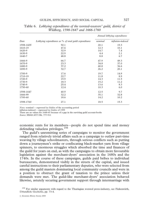|           |                                                           |         | Annual lobbying expenditures |
|-----------|-----------------------------------------------------------|---------|------------------------------|
| Date      | Lobbying expenditures as $\%$ of total guild expenditures | nominal | inflation-indexed            |
| 1598-1609 | 50.1                                                      | 20.1    | 19.3                         |
| 1610-19   | 47.6                                                      | 12.3    | 10.1                         |
| 1620-9    | 32.9                                                      | 14.7    | 7.4                          |
| 1630-9    | 22.9                                                      | 4.4     | 2.1                          |
| 1640-7    | 48.8                                                      | 8.8     | 6.7                          |
| 1666-9    | 66.7                                                      | 47.9    | 49.3                         |
| 1670-9    | 23.3                                                      | 34.8    | 37.0                         |
| 1680-9    | 37.2                                                      | 40.8    | 36.6                         |
| 1690-9    | 32.7                                                      | 26.2    | 20.1                         |
| 1700-9    | 17.6                                                      | 19.7    | 14.9                         |
| 1710-19   | 22.7                                                      | 11.8    | 8.9                          |
| 1720-9    | 19.9                                                      | 14.3    | 11.5                         |
| 1730-9    | 18.3                                                      | 15.2    | 11.2                         |
| 1740-9    | 25.4                                                      | 13.6    | 8.3                          |
| 1750-60   | 12.4                                                      | 10.3    | 6.0                          |
| 1598-1647 | 40.9                                                      | 12.5    | 9.7                          |
| 1666-99   | 32.2                                                      | 35.1    | 32.8                         |
| 1700-60   | 18.6                                                      | 14.2    | 10.2                         |
| 1598-1760 | 27.1                                                      | 18.5    | 15.3                         |

| Table 6. Lobbying expenditures of the worsted-weavers' guild, district of |  |
|---------------------------------------------------------------------------|--|
| Wildberg, 1598-1647 and 1666-1760                                         |  |

*Notes:* nominal  $=$  expressed in *Gulden* of the accounting period

inflation-indexed = expressed in Gulden of  $1599$ 

There are no values for 1648-65 because of a gap in the surviving guild account-books

Source: HSAS A573 Bü. 777-911

economic rents for its members—people do not spend time and money defending valueless privileges.<sup>198</sup>

The guild's unremitting series of campaigns to monitor the government ranged from relatively trivial affairs such as a campaign to outlaw part-time weaving by village schoolmasters, through serious conflicts such as putting down a journeymen's strike or confiscating black-market yarn from village spinners, to enormous struggles which absorbed the time and finances of the guild for years on end, as with the campaigns to obtain more favourable legislation against the merchant-dyers' association in the 1680s and the 1740s. In the course of these campaigns, guilds paid bribes to individual bureaucrats, demonstrated visibly in the streets of the capital, and issued careful instructions to their parliamentary deputies, who were selected from among the guild masters dominating local community councils and were in a position to obstruct the grant of taxation to the prince unless their demands were met. The guild-like merchant-dyers' association behaved likewise, astutely securing government support through intermarriage with

<sup>&</sup>lt;sup>198</sup> For similar arguments with regard to the Thuringian worsted proto-industry, see Finkenwirth, Urkundliche Geschichte, pp. 73-4.

 $C$  Economic History Society 2004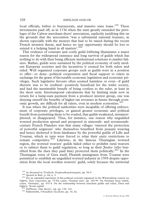local officials, bribes to bureaucrats, and massive state loans.<sup>199</sup> These investments paid off, as in 1736 when the state greatly extended the privileges of the Calwer merchant-dyers' association, explicitly justifying this on the grounds that the association 'was a substantial national treasure, as shown especially with the moneys that had to be raised during the recent French invasion threat, and hence no just opportunity should be lost to extend it a helping hand in all matters'.<sup>200</sup>

This evidence of constant and costly guild lobbying illuminates a major reason for the widespread existence and long survival of guilds which has nothing to do with their being efficient institutional solutions to market failures. Rather, guilds were sustained by the political economy of early modern European societies and the incentives it created for both rulers and ruled. Well organized corporate groups such as guilds were in a position to offer—or deny—political cooperation and fiscal support to rulers in exchange for the grant of favourable economic legislation and economic privileges. Such legislative favours often seemed harmless or even—if guild rhetoric was to be credited—positively beneficial for the wider society, and had the inestimable benefit of being costless to the ruler, at least in the short term. Intertemporal calculations that by limiting trade now in return for a lump-sum payment from a producer interest group, one was denying oneself the benefits of higher tax revenues in future through economic growth, are difficult for all rulers, even in modern economies.<sup>201</sup>

It was where the political authorities were incapable of offering enforcement of corporate privileges, or gained greater economic and political benefit from permitting them to be evaded, that guilds weakened, metamorphosed, or disappeared. Thus, for instance, one reason why unguilded worsted production spread and prospered in sixteenth- and seventeenthcentury French Flanders was that many villages 'enjoyed the protection of powerful seigneurs' who themselves benefited from peasant weaving and hence sheltered it from hindrance by the powerful guilds of Lille and Tournai, which in turn were forced to relax their entry restrictions to remain competitive.202 Likewise, in the famous Thuringian worsted region, the worsted weavers' guilds failed either to prohibit rural weavers or to subject them to guild regulation, so long as their *Junker* (who benefited from the dues they paid him) protected them politically.<sup>203</sup> In the Thuringian town of Gera itself, Flemish immigrants from Tournai were permitted to establish an unguilded worsted industry in 1595 despite opposition from the local woollen weavers' guild, solely because the territorial

<sup>&</sup>lt;sup>199</sup> As discussed in Troeltsch, *Zeughandlungskompagnie*, pp. 84-5.<br><sup>200</sup> Quoted in Ibid., p. 84, n. 2.<br><sup>201</sup> For an expanded exposition of this political economy argument in the Württemberg context see Ogilvie, State corporatism, pp. 79-84; eadem, 'German state', pp. 182-99. On Germany more widely, eadem, 'Germany', pp. 431-4. On the relationship between merchant guilds and rulers, Dessí and Ogilvie, 'Social capital'.

 $\frac{202}{202}$  DuPlessis, 'One theory', esp. pp. 139, 141.  $\frac{203}{202}$  Finkenwirth, Urkundliche Geschichte, pp. 10, 42.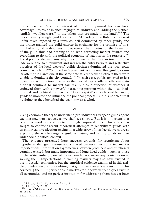prince perceived 'the best interest of the country'—and his own fiscal advantage—to reside in encouraging rural industry and 'adding the Netherlandish "woollen wares" to the others that are made in the land'.<sup>204</sup> The Gera industry sought guild status in 1613 solely in self-defence against unfair taxes imposed by a town council dominated by other guilds, and the prince granted the guild charter in exchange for the promise of onethird of all guild sealing fees in perpetuity: the impetus for the formation of the guild thus had nothing to do with correcting market failures and everything to do with the political economy of taxation in the territory.<sup>205</sup> Local politics also explains why the clothiers of the Catalan town of Igualada were able to circumvent and weaken the entry barriers and restrictive practices of the local weavers' guild: clothiers dominated the local town council, which in 1723 forced an 'agreement' on the unwilling guild; a similar attempt in Barcelona at the same date failed because clothiers there were unable to dominate the city council.<sup>206</sup> In each case, guilds achieved or lost power not as a function of whether their social capital offered efficient institutional solutions to market failures, but as a function of whether it endowed them with a powerful bargaining position within the local institutional and political framework. 'Social capital' certainly enabled many guilds to monitor and influence the political process. But it is not clear that by doing so they benefited the economy as a whole.

#### VI

Using economic theory to understand pre-industrial European guilds opens exciting new perspectives, as we shall see shortly. But it is important that economic models stand up to thorough empirical tests. This article has sought to confront recent theoretical attempts to rehabilitate guilds with an empirical investigation relying on a wide array of non-legislative sources, exploring the whole range of guild activities, and setting guilds in their wider socio-political context.

The evidence presented here suggests grounds for scepticism about hypotheses that guilds arose and survived because they corrected market imperfections. Information asymmetries between producers and purchasers certainly existed, but many important and long-lived guilds—such as those in the Württemberg worsted industry—did not make any contribution to solving them. Imperfections in training markets may also have existed in pre-industrial economies, but the empirical evidence examined in this article provides reasons for doubting that guilds were an efficient institution for correcting them. Imperfections in markets for innovative techniques exist in all economies, and no perfect institution for addressing them has yet been

<sup>&</sup>lt;sup>204</sup> Ibid., pp. 21-7, 132; quotation from p. 21.<br><sup>205</sup> Ibid., pp. 36-7, 132.<br><sup>206</sup> Torras, 'Old and new', pp. 105-8; *idem*, 'Craft to class', pp. 175-7; *idem*, 'Corporations', pp. 750-1.

 $\oslash$  Economic History Society 2004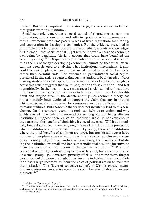devised. But sober empirical investigation suggests little reason to believe that guilds were this institution.

Social networks generating a social capital of shared norms, common information, mutual sanctions, and collective political action may—in some forms—overcome problems posed by lack of trust, reputation, monitoring, and cooperation in developing economies. But the evidence presented in this article provides greater support for the possibility already acknowledged by Coleman—that social capital might reduce innovativeness and economic well-being by penalizing 'deviant' actions that could have benefited the economy at large.<sup>207</sup> Despite widespread advocacy of social capital as a cure to all the ills of today's developing economies, almost no theoretical attention has been devoted to analysing what institutional mechanisms, if any, could be put in place to ensure that social capital is used for beneficial rather than harmful ends. The evidence on pre-industrial social capital presented in this article suggests that such attention is badly needed. Most existing studies of social capital simply assume that its benefits outweigh its costs; this article suggests that we must question this assumption—and test it empirically. In the meantime, we must regard social capital with caution.

So how can we use economic theory to help us move forward in this difficult and tangled area? In the debate about guilds economic theory has hitherto mainly been deployed to support the claim that any institution which exists widely and survives for centuries must be an efficient solution to market failures. But economic theory does not inevitably lead to this conclusion. On the contrary, economic tools can help us to understand why guilds existed so widely and survived for so long without being efficient institutions. Suppose there exists an institution which is not efficient, in the sense that the benefits of abolishing it exceed the costs. Will it automatically break down? No. To see why not, one need only look at the process by which institutions such as guilds change. Typically, these are institutions where the total benefits of abolition are large, but are spread over a large number of people—potential entrants to the industry, employees, consumers. Consequently, for each individual beneficiary, the benefits of abolishing the institution are small and hence that individual has little incentive to incur the costs of political action to change the institution.<sup>208</sup> The total costs of abolition, by contrast, may be relatively small, but are concentrated on a small group—guild masters, princely officials—so among them, the per caput costs of abolition are high. Thus any one individual loser from abolition has a large incentive to incur the costs of political action to maintain the institution. This 'logic of collective action', in Olson's phrase, means that an institution can survive even if the social benefits of abolition exceed the costs.<sup>209</sup>

<sup>&</sup>lt;sup>207</sup> Coleman, 'Social capital', p. 23.<br><sup>208</sup> The institution itself may also ensure that it includes among its benefits most well-off individuals, excluding only those who would not in any case have resources to invest in trying to abolish it. <sup>209</sup> Olson, *Logic*.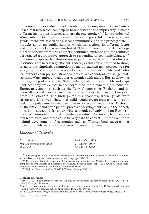Economic theory also provides tools for analysing imperfect and interlinked markets, which can help us to understand the complex way in which different institutions interact and sustain one another.<sup>210</sup> In pre-industrial Württemberg, for instance, a whole array of powerful interest groupsguilds, merchant associations, local communities, and the princely state brought about an equilibrium in which transactions in different factor and product markets were interlinked. These interest groups derived significant benefits from one another's continued existence and for centuries perpetuated a corporative approach to responding to economic change.<sup>211</sup>

Economic approaches thus do not require that we assume that observed institutions are necessarily efficient. Indeed, as this article has tried to show, relaxing this simplistic assumption opens up exciting new perspectives for analysing the complex interactions between individuals, guilds, and political authorities in pre-industrial economies. We cannot, of course, generalize from Württemberg to all other economies with guilds. But, as shown at the beginning of this article, Württemberg with its active guilds and stagnant economy was closer to the norm than more dynamic pre-industrial European economies such as the Low Countries or England, and its low-skilled rural worsted manufactures were typical of many European proto-industries.<sup>212</sup> The findings for this economy, where guilds were strong and long-lived, show that guilds could create greater incentives to seek monopoly rents for members than to correct market failures. As shown by the difficult and often painful process of development even in the richest, most innovative, and fastest-growing economies of early modern Europe the Low Countries and England—the pre-industrial economy had plenty of market failures, and these could be very hard to correct. But the even more painful development of economies such as Württemberg suggests that powerful guilds were not the answer to correcting them.

### University of Cambridge

| First submitted           | 10 October 2003 |
|---------------------------|-----------------|
| Revised version submitted | 19 March 2004   |
| Accepted                  | 30 March 2004   |

<sup>210</sup> For examples of how such tools can be used to understand the institutions of developing economies, see Basu, *Analytical development economics*, esp. pp. 281-329.

 $^{211}$  For a more detailed discussion of the nature and operation of Württemberg corporatism, and comparisons with Prussia and England, see Ogilvie, 'German state', esp. 182-202; on German 'com-

 $^{212}$  Ogilvie, State corporatism, 398-475; Pfister, 'Craft guilds', 21.

#### Footnote references

Akerlof, G. A., 'The market for "lemons": quality uncertainty and the market mechanism', Qu.  $\gamma$ . Econ., 84 (1970), pp. 488-500.

Arrow, K., 'Economic welfare and the allocation of resources for invention', in R. Nelson, ed., The rate and direction of innovative activity (Princeton, 1962), pp. 609-25.

Basu, K., Analytical development economics: the less developed economy revisited (Cambridge, Mass., 1997).

 $C$  Economic History Society 2004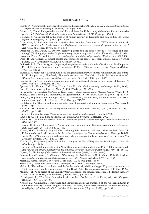#### 332 SHEILAGH OGILVIE

- Blickle, P., 'Kommunalismus: Begriffsbildung in heuristischer Absicht', in idem, ed., Landgemeinde und Stadtgemeinde in Mitteleuropa (Munich, 1991), pp. 5-38.
- Bräuer, H., 'Entwicklungstendenzen und Perspektiven der Erforschung sächsischer Zunfthandwerksgeschichte', Jahrbuch für Regionalgeschichte und Landeskunde, 19 (1993/4), pp. 35-65.
- Coleman, J., 'Social capital in the creation of human capital', in Dasgupta and Serageldin, eds., Social capital, Washington, DC, (2000) pp. 13-39.
- Craeybeckx, J., 'Les industries d'exportation dans les villes flamandes au XVIIe siècle au début du XVIIIe siècle', in M. Spallanzani, ed., Produzione, commercio, e consumo dei panni di lana nei secoli XII-XVIII (Florence, 1976), pp. 475-510.
- Dasgupta, P. and David, P., 'Priority, secrecy, patents and the socio-economics of science and technology' (Working paper series: High technology impact program, Stanford University, March 1988).
- Dasgupta, P. and Serageldin, I., eds., Social capital: a multifaceted perspective (Washington, DC, 2000). Dessí, R. and Ogilvie, S. 'Social capital and collusion: the case of merchant guilds', CESifo working
- papers, 1037 (University of Munich, Germany, 2003). DuPlessis, R. S., 'One theory, two draperies, three provinces, and a multitude of fabrics: the New Drapery of
- French Flanders, Hainaut, and the Tournaisis, c. 1500-c. 1800', in Harte, ed., New Draperies, (Oxford, 1997) pp. 129-72.
- Ehmer, J., 'Traditionelles Denken und neue Fragestellungen zur Geschichte von Handwerk und Zunft', in F. Lenger, ed., Handwerk, Hausindustrie und die Historische Schule der Nationalokonomie. Wissenschafts- und gewerbegeschichtliche Perspektiven (Bielefeld, 1998), pp. 19-77.
- Epstein, S. R., 'Craft guilds, apprenticeship, and technological change in pre-industrial Europe',  $\tilde{J}$ . Econ. Hist., 58 (1998), pp. 684-713.
- Epstein, S. R., Haupt, H. G., Poni, C. and Soly, H., eds., Guilds, economy and society (Sevilla, 1998).
- Etro, F., 'Innovation by leaders', *Econ.* 7., 114 (2004), pp. 281-303.

Finkenwirth, K., Urkundliche Geschichte der Gera-Greizer Wollwarenindustrie von 1572 bis zur Neuzeit (Weida, 1910).

- Fujita, M. and Thisse, J-F., 'Economics of agglomeration',  $\hat{\tau}$ .  $\hat{\tau}$   $\hat{\tau}$   $\hat{\tau}$ ,  $\hat{\tau}$ ,  $Econ$ , 10 (1996), pp. 339-78.
- Greif, A., Milgrom, P. and Weingast, B. R., 'Coordination, commitment, and enforcement: the case of the merchant guild', *J. Pol. Econ.*, 102 (1994), pp. 745-76.
- Gustafsson, B., 'The rise and economic behaviour of medieval craft guilds', Scand. Econ. Hist. Rev., 35 (1987), pp. 1-40.
- Hafter, D. M., 'Women in the underground business of eighteenth-century Lyon', Enterprise & Soc., 2 (2001), pp. 11-40.
- Harte, N. B., ed., The New Draperies in the Low Countries and England (Oxford, 1997).
- Haupt, H-G., ed., Das Ende der Zünfte. Ein europäischer Vergleich (Göttingen, 2002).
- Heaton, H., The Yorkshire woollen and worsted industries from the earliest times up to the industrial revolution (Oxford, 1965).
- Hickson, C. R. and Thompson, E. A., 'A new theory of guilds and European economic development', Exp. Econ. His., 28 (1991), pp. 127-68.
- Howell, M. C., 'Achieving the guild effect without guilds: crafts and craftsmen in late medieval Douai', in P. Lambrechts and J.-P. Sosson, eds., Les métiers au Moyen Âge (Louvain-la-Neuve, 1994), pp. 109-28.
- Howell, M. C., 'Women's work in the new and light draperies of the Low Countries', in Harte, ed., New Draperies, (Oxford, 1997) pp. 197-216.
- Hudson, P., The genesis of industrial capital: a study of the West Riding wool textile industry c. 1750-1850 (Cambridge, 1986).
- Hudson, P., 'Capital and credit in the West Riding wool textile industry, c. 1750-1850', in eadem, ed., Regions and industries: a perspective on the industrial revolution in Britain (Cambridge, 1989), pp. 69-102. Lipson, E., The history of the woollen and worsted industries (1965; 1st edn. 1921).
- Lourens, P. and Lucassen, J., 'Gilden und Wanderung: die Niederlände', in K. Schulz and E. Müller-Luckner,

eds., Handwerk in Europa vom Spätmittelalter bis zur Frühen Neuzeit (Müncher, 1999), pp. 65-79.

- Marshall, Alfred, Principles of economics, 8th edn. (1920; orig. publ. 1890).
- Medick, H., Weben und Überleben in Laichingen, 1650-1900 (Göttingen, 1996).
- Mokyr, J., 'The industrial revolution and the Netherlands: why did it not happen?', paper presented to the 150th anniversary conference organized by the Royal Dutch Economic Association, 10-11 Dec. 1999.
- Munro, J. H., 'The origin of the English ''New Draperies': the resurrection of an old Flemish industry, 1270-1570', in Harte, New Draperies, (Oxford, 1997) pp. 35-128.
- Noordegraaf, L., 'The New Draperies in the northern Netherlands', in Harte, ed., New Draperies, (Oxford, 1997) pp. 173-96.
- Nyberg, K., 'Commercial competence and industrialisation: the transition of the woollen industry in nineteenth-century Sweden: English summary', in idem, Kommersiell kompetens och industrialiserung. Norrköpöings ylleindustriella tillväxt på Stockholms bekostnad (Uppsala, 1999), pp. 2-31.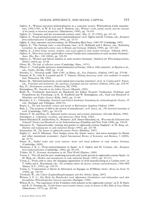- Ogilvie, S., 'Women and proto-industrialisation in a corporate society: Wu¨rttemberg textile manufacture, 1590-1790', in W. R. Lee and P. Hudson, eds., Women's work, family income and the structure of the family in historical perspective (Manchester, 1990), pp. 76-103.
- Ogilvie, S., 'Germany and the seventeenth-century crisis', Hist. J., 35 (1992), pp. 417-41.
- Ogilvie, S., 'Social institutions and proto-industrialization', in S. Ogilvie and M. Cerman, eds., *European* proto-industrialization (Cambridge, 1996), pp. 23-37.
- Ogilvie, S., State corporatism and proto-industry: the Württemberg Black Forest, 1580-1797 (Cambridge, 1997).
- Ogilvie, S., 'The German state: a non-Prussian view', in E. Hellmuth and J. Brewer, eds., Rethinking Leviathan: the eighteenth-century state in Britain and Germany (Oxford, 1999), pp. 167-202.
- Ogilvie, S., A bitter living: women, markets, and social capital in early modern Germany (Oxford, 2003).
- Ogilvie, S., 'How does social capital affect women? Guilds and communities in early modern Germany', Amer. Hist. Rev., 109 (2004), pp. 325-59.
- Ogilvie, S., 'Women and labour markets in early modern Germany', *Jahrbuch fur Wirtschaftsgeschichte*, 2004:2 (2004) pp. 53-58.
- Olson, M., The logic of collective action (Cambridge, Mass., 1971).
- Pfister, U., 'Craft guilds and proto-industrialization in Europe, 16th to 18th centuries', in Epstein et al., eds., Guilds, (Sevilla, 1998) pp. 11-24.
- Priestley, U., 'Norwich stuffs, 1600-1700', in Harte, ed., New Draperies, (Oxford, 1997) pp. 275-88.
- Putnam, R. D., with R. Leonardi and R. Y. Nanetti, Making democracy work: civic traditions in modern Italy (Princeton, NI, 1993).
- Raiser, M., 'Informal institutions, social capital and economic transition', in G. A. Cornia and V. Popov, eds., Transition and institutions: the experience of gradual and late reformers (Oxford, 2001), pp. 218-39. Ray, D., Development economics (Princeton, NJ, 1998).
- Reininghaus, W., Gewerbe in der frühen Neuzeit (Munich, 1990).
- Reith, R., 'Technische Innovation im Handwerk der frühen Neuzeit? Traditionen, Probleme und Perspektiven der Forschung', in K. H. Kaufhold and W. Reininghaus, eds., Stadt und Handwerk in Mittelalter und Früher Neuzeit (Köln, 2000), pp. 21-60.
- Reyscher, A. L., Vollständige, historisch und kritisch bearbeitete Sammlung der württembergische Gesetze, 19 vols. (Stuttgart and Tübingen, 1828/51).
- Roper, L., The holy household: women and morals in Reformation Augsburg (Oxford, 1989).
- Rule, J., 'The property of skill in the period of manufacture', in P. Joyce, ed., The historical meanings of work (Cambridge, 1987), pp. 99-118.
- Scherer, F. M. and Ross, D., Industrial market structure and economic performance (3rd edn, Boston, 1990).

Schumpter, J., Capitalism, socialism, and democracy (New York, 1942).

- Simon-Muscheid, K. and Jacobsen, G., 'Resümee', in K. Simon-Muscheid, ed., 'Was nutzt die Schusterin dem Schmied?' Frauen und Handwerk vor der Industrialisierung (Frankfurt and New York, 1998), pp. 159-65.
- Simonton, D., 'Apprenticeship: training and gender in eighteenth-century England', in M. Berg, ed., Markets and manufacture in early industrial Europe (1991), pp. 227-58.
- Sonenscher, M., The hatters of eighteenth-century France (Berkeley, 1987).
- Stiglitz, J., and D. Ellerman, 'New bridges across the chasm: macro- and micro-strategies for Russia and other transitional economies', Zagreb International Review of Economics and Business, 3 (2000), pp. 41-72.
- Stuart, K., Defiled trades and social outcasts: honor and ritual pollution in early modern Germany (Cambridge, 2000).
- Thomson, J. K. J., 'Proto-industrialization in Spain', in S. Ogilvie and M. Cerman, eds., European proto-industrialization (Cambridge, 1996), pp. 85-101.
- Todaro, M. P., Economic development in the Third World (Harlow, 1989).
- Torras, J., 'The old and the new: marketing networks and textile growth in eighteenth-century Spain', in M. Berg, ed., Markets and manufacture in early industrial Europe (1991), pp. 93-113.
- Torras, J., 'From craft to class: the changing organisation of cloth manufacturing in a Catalan town', in T. Safley and L. Rosenband, eds., The workplace before the factory: artisans and proletarians, 1500-1800 (Ithaca, N.Y., 1993), pp. 165-79.
- Torras, J., 'Corporations et liberté de fabrication en Espagne au XVIIIème siècle', Revue du Nord, 76 (1994), pp. 745-53.
- Troeltsch, W., Die Calwer Zeughandlungskompagnie und ihre Arbeiter (Jena, 1897).
- Weisser, J. F. C., Das Recht der Handwerker nach allgemeinen Grundsätzen und insbesondere nach dem herzoglichen Wirtembergischen Gesezen entworfen (Stuttgart, 1780).
- Wilson, R. G., 'The supremacy of the Yorkshire cloth industry in the eighteenth century', in N. B. Harte and K. G. Ponting eds., Textile history and economic history; essays in honour of Miss Julia de Lacy Mann (Manchester, 1973), pp. 225-46.